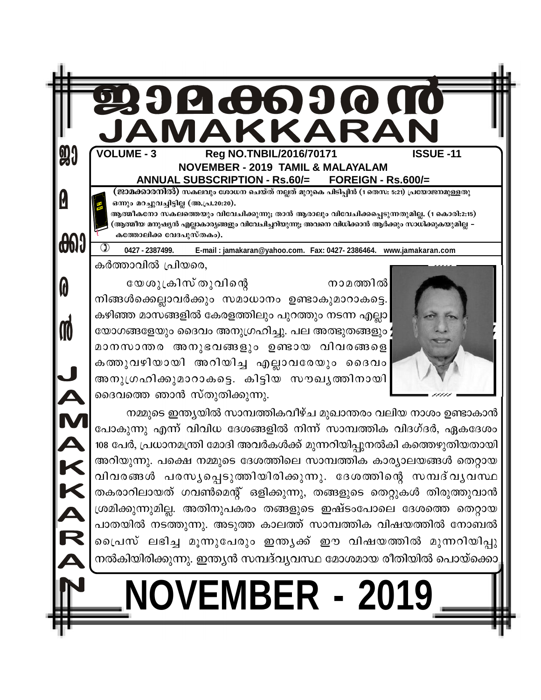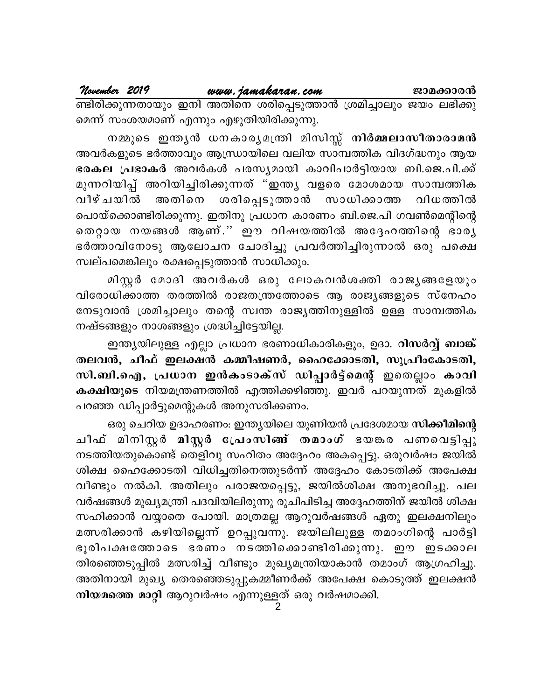മെന്ന് സംശയമാണ് എന്നും എഴുതിയിരിക്കുന്നു.

നമ്മുടെ ഇന്ത്യൻ ധനകാര്യമന്ത്രി മിസിസ്സ് നിർമ്മലാസീതാരാമൻ അവർകളുടെ ഭർത്താവും ആന്ധ്രായിലെ വലിയ സാമ്പത്തിക വിദഗ്ദ്ധനും ആയ ഭരകല പ്രഭാകർ അവർകൾ പരസ്യമായി കാവിപാർട്ടിയായ ബി.ജെ.പി.ക്ക് മുന്നറിയിപ്പ് അറിയിച്ചിരിക്കുന്നത് "ഇന്ത്യ വളരെ മോശമായ സാമ്പത്തിക വീഴ് ചയിൽ അതിനെ ശരിപ്പെടുത്താൻ സാധിക്കാത്ത വിധത്തിൽ പൊയ്ക്കൊണ്ടിരിക്കുന്നു. ഇതിനു പ്രധാന കാരണം ബി.ജെ.പി ഗവൺമെന്റിന്റെ തെറ്റായ നയങ്ങൾ ആണ്.'' ഈ വിഷയത്തിൽ അദ്ദേഹത്തിന്റെ ഭാരൃ ഭർത്താവിനോടു ആലോചന ചോദിച്ചു പ്രവർത്തിച്ചിരുന്നാൽ ഒരു പക്ഷെ സ്വല്പമെങ്കിലും രക്ഷപ്പെടുത്താൻ സാധിക്കും.

മിസ്റ്റർ മോദി അവർകൾ ഒരു ലോകവൻശക്തി രാജൃങ്ങളേയും വിരോധിക്കാത്ത തരത്തിൽ രാജതന്ത്രത്തോടെ ആ രാജ്യങ്ങളുടെ സ്നേഹം നേടുവാൻ ശ്രമിച്ചാലും തന്റെ സ്വന്ത രാജ്യത്തിനുള്ളിൽ ഉള്ള സാമ്പത്തിക നഷ്ടങ്ങളും നാശങ്ങളും ശ്രദ്ധിച്ചിട്ടേയില്ല.

ഇന്ത്യയിലുള്ള എല്ലാ പ്രധാന ഭരണാധികാരികളും, ഉദാ. റിസർവ്വ് ബാങ്ക് തലവൻ, ചീഫ് ഇലക്ഷൻ കമ്മീഷണർ, ഹൈക്കോടതി, സുപ്രീംകോടതി, സി.ബി.ഐ, പ്രധാന ഇൻകംടാക്സ് ഡിപ്പാർട്ട്മെന്റ് ഇതെല്ലാം കാവി കക്ഷിയുടെ നിയമന്ത്രണത്തിൽ എത്തിക്കഴിഞ്ഞു. ഇവർ പറയുന്നത് മുകളിൽ പറഞ്ഞ ഡിപ്പാർട്ടുമെന്റുകൾ അനുസരിക്കണം.

ഒരു ചെറിയ ഉദാഹരണം: ഇന്ത്യയിലെ യൂണിയൻ പ്രദേശമായ സിക്കീമിന്റെ ചീഫ് മിനിസ്റ്റർ മിസ്റ്റർ പ്രേംസിങ്ങ് തമാംഗ് ഭയങ്കര പണവെട്ടിപ്പു നടത്തിയതുകൊണ്ട് തെളിവു സഹിതം അദ്ദേഹം അകപ്പെട്ടു. ഒരുവർഷം ജയിൽ ശിക്ഷ ഹൈക്കോടതി വിധിച്ചതിനെത്തുടർന്ന് അദ്ദേഹം കോടതിക്ക് അപേക്ഷ വീണ്ടും നൽകി. അതിലും പരാജയപ്പെട്ടു, ജയിൽശിക്ഷ അനുഭവിച്ചു. പല വർഷങ്ങൾ മുഖ്യമന്ത്രി പദവിയിലിരുന്നു രുചിപിടിച്ച അദ്ദേഹത്തിന് ജയിൽ ശിക്ഷ സഹിക്കാൻ വയ്യാതെ പോയി. മാത്രമല്ല ആറുവർഷങ്ങൾ ഏതു ഇലക്ഷനിലും മത്സരിക്കാൻ കഴിയില്ലെന്ന് ഉറപ്പുവന്നു. ജയിലിലുള്ള തമാംഗിന്റെ പാർട്ടി ഭൂരിപക്ഷത്തോടെ ഭരണം നടത്തിക്കൊണ്ടിരിക്കുന്നു. ഈ ഇടക്കാല തിരഞ്ഞെടുപ്പിൽ മത്സരിച്ച് വീണ്ടും മുഖ്യമന്ത്രിയാകാൻ തമാംഗ് ആഗ്രഹിച്ചു. അതിനായി മുഖ്യ തെരഞ്ഞെടുപ്പുകമ്മീണർക്ക് അപേക്ഷ കൊടുത്ത് ഇലക്ഷൻ നിയമത്തെ മാറ്റി ആറുവർഷം എന്നുള്ളത് ഒരു വർഷമാക്കി.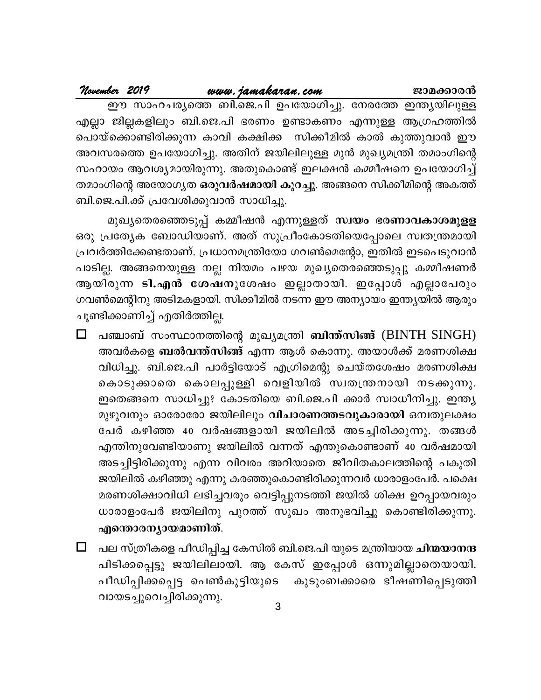| November 2019 |                                        | www.jamakaran.com | ജാമക്കാരൻ                                                         |
|---------------|----------------------------------------|-------------------|-------------------------------------------------------------------|
|               |                                        |                   | ഈ സാഹചര്യത്തെ ബി.ജെ.പി ഉപയോഗിച്ചു. നേരത്തേ ഇന്ത്യയിലുള്ള          |
|               |                                        |                   | എല്ലാ ജില്ലകളിലും ബി.ജെ.പി ഭരണം ഉണ്ടാകണം എന്നുള്ള ആഗ്രഹത്തിൽ      |
|               |                                        |                   | പൊയ്ക്കൊണ്ടിരിക്കുന്ന കാവി കക്ഷിക്ക  സിക്കീമിൽ കാൽ കുത്തുവാൻ ഈ    |
|               |                                        |                   | അവസരത്തെ ഉപയോഗിച്ചു. അതിന് ജയിലിലുള്ള മുൻ മുഖ്യമന്ത്രി തമാംഗിന്റെ |
|               |                                        |                   | സഹായം ആവശ്യമായിരുന്നു. അതുകൊണ്ട് ഇലക്ഷൻ കമ്മീഷനെ ഉപയോഗിച്ച്       |
|               |                                        |                   | തമാംഗിന്റെ അയോഗ്യത ഒരുവർഷമായി കുറച്ചു. അങ്ങനെ സിക്കീമിന്റെ അകത്ത് |
|               | ബി.ജെ.പി.ക്ക് പ്രവേശിക്കുവാൻ സാധിച്ചു. |                   |                                                                   |

മുഖ്യതെരഞ്ഞെടുപ്പ് കമ്മീഷൻ എന്നുള്ളത് സ്വയം ഭരണാവകാശമുളള ഒരു പ്രത്യേക ബോഡിയാണ്. അത് സുപ്രീംകോടതിയെപ്പോലെ സ്വതന്ത്രമായി പ്രവർത്തിക്കേണ്ടതാണ്. പ്രധാനമന്ത്രിയോ ഗവൺമെന്റോ, ഇതിൽ ഇടപെടുവാൻ പാടില്ല. അങ്ങനെയുള്ള നല്ല നിയമം പഴയ മുഖ്യതെരഞ്ഞെടുപ്പു കമ്മീഷണർ ആയിരുന്ന ടി.എൻ ശേഷനുശേഷം ഇല്ലാതായി. ഇപ്പോൾ എല്ലാപേരും ഗവൺമെന്റിനു അടിമകളായി. സിക്കീമിൽ നടന്ന ഈ അന്യായം ഇന്ത്യയിൽ ആരും ചൂണ്ടിക്കാണിച്ച് എതിർത്തില്ല.

- $\Box$ പഞ്ചാബ് സംസ്ഥാനത്തിന്റെ മുഖ്യമന്ത്രി **ബിന്ത്സിങ്ങ്** (BINTH SINGH) അവർകളെ ബൽവന്ത്സിങ്ങ് എന്ന ആൾ കൊന്നു. അയാൾക്ക് മരണശിക്ഷ വിധിച്ചു. ബി.ജെ.പി പാർട്ടിയോട് എഗ്രിമെന്റു ചെയ്തശേഷം മരണശിക്ഷ കൊടുക്കാതെ കൊലപ്പുള്ളി വെളിയിൽ സ്വതന്ത്രനായി നടക്കുന്നു. ഇതെങ്ങനെ സാധിച്ചു? കോടതിയെ ബി.ജെ.പി ക്കാർ സ്വാധീനിച്ചു. ഇന്ത്യ മുഴുവനും ഓരോരോ ജയിലിലും വിചാരണത്തടവുകാരായി ഒമ്പതുലക്ഷം പേർ കഴിഞ്ഞ 40 വർഷങ്ങളായി ജയിലിൽ അടച്ചിരിക്കുന്നു. തങ്ങൾ എന്തിനുവേണ്ടിയാണു ജയിലിൽ വന്നത് എന്തുകൊണ്ടാണ് 40 വർഷമായി അടച്ചിട്ടിരിക്കുന്നു എന്ന വിവരം അറിയാതെ ജീവിതകാലത്തിന്റെ പകുതി ജയിലിൽ കഴിഞ്ഞു എന്നു കരഞ്ഞുകൊണ്ടിരിക്കുന്നവർ ധാരാളംപേർ. പക്ഷെ മരണശിക്ഷാവിധി ലഭിച്ചവരും വെട്ടിപ്പുനടത്തി ജയിൽ ശിക്ഷ ഉറപ്പായവരും ധാരാളംപേർ ജയിലിനു പുറത്ത് സുഖം അനുഭവിച്ചു കൊണ്ടിരിക്കുന്നു. എന്തൊരന്യായമാണിത്.
- $\Box$ പല സ്ത്രീകളെ പീഡിപ്പിച്ച കേസിൽ ബി.ജെ.പി യുടെ മന്ത്രിയായ **ചിന്മയാനന്ദ** പിടിക്കപ്പെട്ടു ജയിലിലായി. ആ കേസ് ഇപ്പോൾ ഒന്നുമില്ലാതെയായി. പീഡിപ്പിക്കപ്പെട്ട പെൺകുട്ടിയുടെ കുടുംബക്കാരെ ഭീഷണിപ്പെടുത്തി വായടച്ചുവെച്ചിരിക്കുന്നു.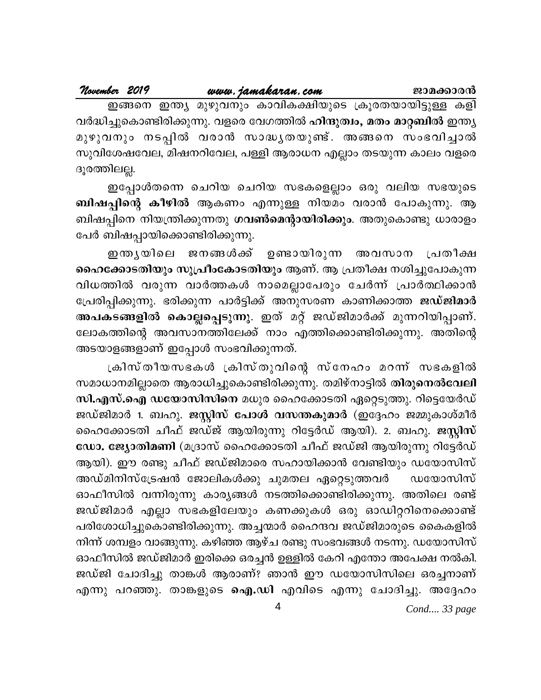### <u>www.jamakaran.com</u> November 2019 ജാമക്കാരൻ

ഇങ്ങനെ ഇന്ത്യ മുഴുവനും കാവികക്ഷിയുടെ ക്രൂരതയായിട്ടുള്ള കളി വർദ്ധിച്ചുകൊണ്ടിരിക്കുന്നു. വളരെ വേഗത്തിൽ ഹിന്ദുത്വം, മതം മാറ്റബിൽ ഇന്ത്യ മുഴുവനും നടപ്പിൽ വരാൻ സാദ്ധ്യതയുണ്ട്. അങ്ങനെ സംഭവിച്ചാൽ സുവിശേഷവേല, മിഷനറിവേല, പള്ളി ആരാധന എല്ലാം തടയുന്ന കാലം വളരെ ദൂരത്തിലല്ല.

ഇപ്പോൾതന്നെ ചെറിയ ചെറിയ സഭകളെല്ലാം ഒരു വലിയ സഭയുടെ ബിഷപ്പിന്റെ കീഴിൽ ആകണം എന്നുള്ള നിയമം വരാൻ പോകുന്നു. ആ ബിഷപ്പിനെ നിയന്ത്രിക്കുന്നതു ഗവൺമെന്റായിരിക്കും. അതുകൊണ്ടു ധാരാളം പേർ ബിഷപ്പായിക്കൊണ്ടിരിക്കുന്നു.

ഇന്തൃയിലെ ജനങ്ങൾക്ക് ഉണ്ടായിരുന്ന അവസാന പ്രതീക്ഷ ഹൈക്കോടതിയും സുപ്രീംകോടതിയും ആണ്. ആ പ്രതീക്ഷ നശിച്ചുപോകുന്ന വിധത്തിൽ വരുന്ന വാർത്തകൾ നാമെല്ലാപേരും ചേർന്ന് പ്രാർത്ഥിക്കാൻ പ്രേരിപ്പിക്കുന്നു. ഭരിക്കുന്ന പാർട്ടിക്ക് അനുസരണ കാണിക്കാത്ത ജഡ്ജിമാർ അപകടങ്ങളിൽ കൊല്ലപ്പെടുന്നു. ഇത് മറ്റ് ജഡ്ജിമാർക്ക് മുന്നറിയിപ്പാണ്. ലോകത്തിന്റെ അവസാനത്തിലേക്ക് നാം എത്തിക്കൊണ്ടിരിക്കുന്നു. അതിന്റെ അടയാളങ്ങളാണ് ഇപ്പോൾ സംഭവിക്കുന്നത്.

ക്രിസ്തീയസഭകൾ ക്രിസ്തുവിന്റെ സ്നേഹം മറന്ന് സഭകളിൽ സമാധാനമില്ലാതെ ആരാധിച്ചുകൊണ്ടിരിക്കുന്നു. തമിഴ്നാട്ടിൽ തിരുനെൽവേലി സി.എസ്.ഐ ഡയോസിസിനെ മധുര ഹൈക്കോടതി ഏറ്റെടുത്തു. റിട്ടെയേർഡ് ജഡ്ജിമാർ 1. ബഹു. ജസ്റ്റിസ് പോൾ വസന്തകുമാർ (ഇദ്ദേഹം ജമ്മുകാശ്മീർ ഹൈക്കോടതി ചീഫ് ജഡ്ജ് ആയിരുന്നു റിട്ടേർഡ് ആയി). 2. ബഹു. ജസ്റ്റിസ് ഡോ. ജ്യോതിമണി (മദ്രാസ് ഹൈക്കോടതി ചീഫ് ജഡ്ജി ആയിരുന്നു റിട്ടേർഡ് ആയി). ഈ രണ്ടു ചീഫ് ജഡ്ജിമാരെ സഹായിക്കാൻ വേണ്ടിയും ഡയോസിസ് അഡ്മിനിസ്ട്രേഷൻ ജോലികൾക്കു ചുമതല ഏറ്റെടുത്തവർ ഡയോസിസ് ഓഫീസിൽ വന്നിരുന്നു കാര്യങ്ങൾ നടത്തിക്കൊണ്ടിരിക്കുന്നു. അതിലെ രണ്ട് ജഡ്ജിമാർ എല്ലാ സഭകളിലേയും കണക്കുകൾ ഒരു ഓഡിറ്ററിനെക്കൊണ്ട് പരിശോധിച്ചുകൊണ്ടിരിക്കുന്നു. അച്ചന്മാർ ഹൈന്ദവ ജഡ്ജിമാരുടെ കൈകളിൽ നിന്ന് ശമ്പളം വാങ്ങുന്നു. കഴിഞ്ഞ ആഴ്ച രണ്ടു സംഭവങ്ങൾ നടന്നു. ഡയോസിസ് ഓഫീസിൽ ജഡ്ജിമാർ ഇരിക്കെ ഒരച്ചൻ ഉള്ളിൽ കേറി എന്തോ അപേക്ഷ നൽകി. ജഡ്ജി ചോദിച്ചു താങ്കൾ ആരാണ്? ഞാൻ ഈ ഡയോസിസിലെ ഒരച്ചനാണ് എന്നു പറഞ്ഞു. താങ്കളുടെ ഐ.ഡി എവിടെ എന്നു ചോദിച്ചു. അദ്ദേഹം

Cond.... 33 page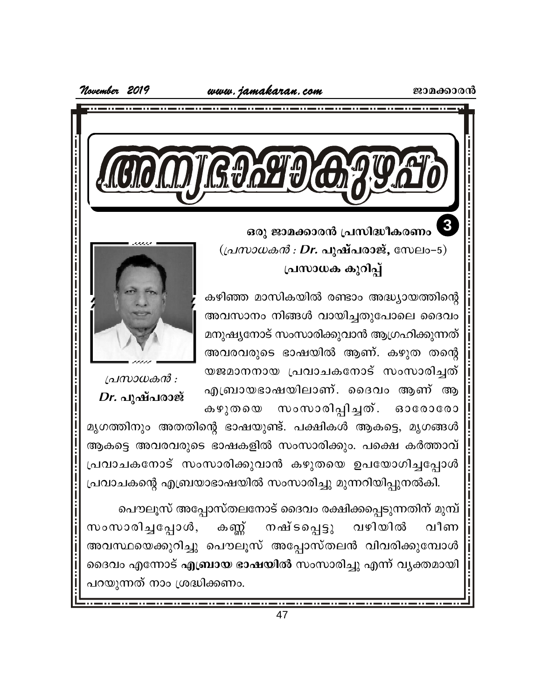www. jamakaran.com

November 2019



ഒരു ജാമക്കാരൻ പ്രസിദ്ധീകരണം  $((\Delta M) \otimes \Delta M)$  : Dr. പുഷ്പരാജ്, സേലം-5) പ്രസാധക കുറിപ്പ്

കഴിഞ്ഞ മാസികയിൽ രണ്ടാം അദ്ധ്യായത്തിന്റെ അവസാനം നിങ്ങൾ വായിച്ചതുപോലെ ദൈവം മനുഷ്യനോട് സംസാരിക്കുവാൻ ആഗ്രഹിക്കുന്നത് അവരവരുടെ ഭാഷയിൽ ആണ്. കഴുത തന്റെ യജമാനനായ പ്രവാചകനോട് സംസാരിച്ചത് എബ്രായഭാഷയിലാണ്. ദൈവം ആണ് ആ സംസാരിപ്പിച്ചത്. ഓരോരോ കഴുതയെ



പ്രസാധകൻ :  $Dr.$  പുഷ്പരാജ്

മൃഗത്തിനും അതതിന്റെ ഭാഷയുണ്ട്. പക്ഷികൾ ആകട്ടെ, മൃഗങ്ങൾ ആകട്ടെ അവരവരുടെ ഭാഷകളിൽ സംസാരിക്കും. പക്ഷെ കർത്താവ് പ്രവാചകനോട് സംസാരിക്കുവാൻ കഴുതയെ ഉപയോഗിച്ചപ്പോൾ പ്രവാചകന്റെ എബ്രയാഭാഷയിൽ സംസാരിച്ചു മുന്നറിയിപ്പുനൽകി.

പൌലൂസ് അപ്പോസ്തലനോട് ദൈവം രക്ഷിക്കപ്പെടുന്നതിന് മുമ്പ് വഴിയിൽ സംസാരിച്ചപ്പോൾ, <u>കണ്ണ്</u> നഷ് ടപ്പെട്ടു വീണ അവസ്ഥയെക്കുറിച്ചു പൌലൂസ് അപ്പോസ്തലൻ വിവരിക്കുമ്പോൾ ദൈവം എന്നോട് എബ്രായ ഭാഷയിൽ സംസാരിച്ചു എന്ന് വ്യക്തമായി പറയുന്നത് നാം ശ്രദ്ധിക്കണം.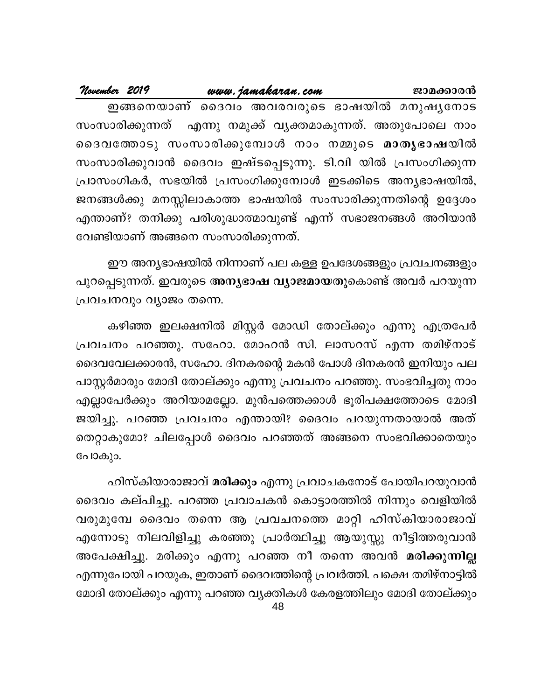| November 2019 |                                    | www.jamakaran.com | ജാമക്കാരൻ                                                   |
|---------------|------------------------------------|-------------------|-------------------------------------------------------------|
|               |                                    |                   | ഇങ്ങനെയാണ് ദൈവം അവരവരുടെ ഭാഷയിൽ മനുഷൃനോട                    |
|               |                                    |                   | സംസാരിക്കുന്നത് എന്നു നമുക്ക് വൃക്തമാകുന്നത്. അതുപോലെ നാം   |
|               |                                    |                   | ദൈവത്തോടു സംസാരിക്കുമ്പോൾ നാം നമ്മുടെ മാതൃഭാഷയിൽ            |
|               |                                    |                   | സംസാരിക്കുവാൻ ദൈവം ഇഷ്ടപ്പെടുന്നു. ടി.വി യിൽ പ്രസംഗിക്കുന്ന |
|               |                                    |                   | പ്രാസംഗികർ, സഭയിൽ പ്രസംഗിക്കുമ്പോൾ ഇടക്കിടെ അന്യഭാഷയിൽ,     |
|               |                                    |                   | ജനങ്ങൾക്കു മനസ്സിലാകാത്ത ഭാഷയിൽ സംസാരിക്കുന്നതിന്റെ ഉദ്ദേശം |
|               |                                    |                   | എന്താണ്? തനിക്കു പരിശുദ്ധാത്മാവുണ്ട് എന്ന് സഭാജനങ്ങൾ അറിയാൻ |
|               | വേണ്ടിയാണ് അങ്ങനെ സംസാരിക്കുന്നത്. |                   |                                                             |

ഈ അന്യഭാഷയിൽ നിന്നാണ് പല കള്ള ഉപദേശങ്ങളും പ്രവചനങ്ങളും പുറപ്പെടുന്നത്. ഇവരുടെ അനൃഭാഷ വ്യാജമായതുകൊണ്ട് അവർ പറയുന്ന പ്രവചനവും വ്യാജം തന്നെ.

കഴിഞ്ഞ ഇലക്ഷനിൽ മിസ്റ്റർ മോഡി തോല്ക്കും എന്നു എത്രപേർ പ്രവചനം പറഞ്ഞു. സഹോ. മോഹൻ സി. ലാസറസ് എന്ന തമിഴ്നാട് ദൈവവേലക്കാരൻ, സഹോ. ദിനകരന്റെ മകൻ പോൾ ദിനകരൻ ഇനിയും പല പാസ്റ്റർമാരും മോദി തോല്ക്കും എന്നു പ്രവചനം പറഞ്ഞു. സംഭവിച്ചതു നാം എല്ലാപേർക്കും അറിയാമല്ലോ. മുൻപത്തെക്കാൾ ഭൂരിപക്ഷത്തോടെ മോദി ജയിച്ചു. പറഞ്ഞ പ്രവചനം എന്തായി? ദൈവം പറയുന്നതായാൽ അത് തെറ്റാകുമോ? ചിലപ്പോൾ ദൈവം പറഞ്ഞത് അങ്ങനെ സംഭവിക്കാതെയും പോകും.

ഹിസ്കിയാരാജാവ് മരിക്കും എന്നു പ്രവാചകനോട് പോയിപറയുവാൻ ദൈവം കല്പിച്ചു. പറഞ്ഞ പ്രവാചകൻ കൊട്ടാരത്തിൽ നിന്നും വെളിയിൽ വരുമുമ്പേ ദൈവം തന്നെ ആ പ്രവചനത്തെ മാറ്റി ഹിസ്കിയാരാജാവ് എന്നോടു നിലവിളിച്ചു കരഞ്ഞു പ്രാർത്ഥിച്ചു ആയുസ്സു നീട്ടിത്തരുവാൻ അപേക്ഷിച്ചു. മരിക്കും എന്നു പറഞ്ഞ നീ തന്നെ അവൻ മരിക്കുന്നില്ല എന്നുപോയി പറയുക, ഇതാണ് ദൈവത്തിന്റെ പ്രവർത്തി. പക്ഷെ തമിഴ്നാട്ടിൽ മോദി തോല്ക്കും എന്നു പറഞ്ഞ വൃക്തികൾ കേരളത്തിലും മോദി തോല്ക്കും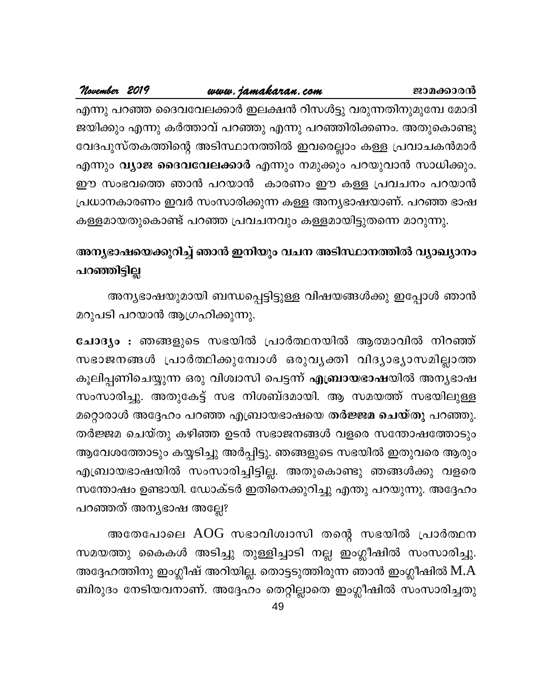### November 2019 www.jamakaran.com ജാമക്കാരൻ എന്നു പറഞ്ഞ ദൈവവേലക്കാർ ഇലക്ഷൻ റിസൾട്ടു വരുന്നതിനുമുമ്പേ മോദി ജയിക്കും എന്നു കർത്താവ് പറഞ്ഞു എന്നു പറഞ്ഞിരിക്കണം. അതുകൊണ്ടു വേദപുസ്തകത്തിന്റെ അടിസ്ഥാനത്തിൽ ഇവരെല്ലാം കള്ള പ്രവാചകൻമാർ

എന്നും **വ്യാജ ദൈവവേലക്കാർ** എന്നും നമുക്കും പറയുവാൻ സാധിക്കും. ഈ സംഭവത്തെ ഞാൻ പറയാൻ കാരണം ഈ കള്ള പ്രവചനം പറയാൻ പ്രധാനകാരണം ഇവർ സംസാരിക്കുന്ന കള്ള അന്യഭാഷയാണ്. പറഞ്ഞ ഭാഷ കള്ളമായതുകൊണ്ട് പറഞ്ഞ പ്രവചനവും കള്ളമായിട്ടുതന്നെ മാറുന്നു.

### അനൃഭാഷയെക്കുറിച്ച് ഞാൻ ഇനിയും വചന അടിസ്ഥാനത്തിൽ വ്യാഖ്യാനം പറഞ്ഞിട്ടില്ല

അന്യഭാഷയുമായി ബന്ധപ്പെട്ടിട്ടുള്ള വിഷയങ്ങൾക്കു ഇപ്പോൾ ഞാൻ മറുപടി പറയാൻ ആഗ്രഹിക്കുന്നു.

ചോദ്യം : ഞങ്ങളുടെ സഭയിൽ പ്രാർത്ഥനയിൽ ആത്മാവിൽ നിറഞ്ഞ് സഭാജനങ്ങൾ പ്രാർത്ഥിക്കുമ്പോൾ ഒരുവൃക്തി വിദ്യാഭ്യാസമില്ലാത്ത കൂലിപ്പണിചെയ്യുന്ന ഒരു വിശ്വാസി പെട്ടന്ന് എബ്രായഭാഷയിൽ അന്യഭാഷ സംസാരിച്ചു. അതുകേട്ട് സഭ നിശബ്ദമായി. ആ സമയത്ത് സഭയിലുള്ള മറ്റൊരാൾ അദ്ദേഹം പറഞ്ഞ എബ്രായഭാഷയെ തർജ്ജമ ചെയ്തു പറഞ്ഞു. തർജ്ജമ ചെയ്തു കഴിഞ്ഞ ഉടൻ സഭാജനങ്ങൾ വളരെ സന്തോഷത്തോടും ആവേശത്തോടും കയ്യടിച്ചു അർപ്പിട്ടു. ഞങ്ങളുടെ സഭയിൽ ഇതുവരെ ആരും എബ്രായഭാഷയിൽ സംസാരിച്ചിട്ടില്ല. അതുകൊണ്ടു ഞങ്ങൾക്കു വളരെ സന്തോഷം ഉണ്ടായി. ഡോക്ടർ ഇതിനെക്കുറിച്ചു എന്തു പറയുന്നു. അദ്ദേഹം പറഞ്ഞത് അന്യഭാഷ അല്ലേ?

അതേപോലെ AOG സഭാവിശ്വാസി തന്റെ സഭയിൽ പ്രാർത്ഥന സമയത്തു കൈകൾ അടിച്ചു തുള്ളിച്ചാടി നല്ല ഇംഗ്ലീഷിൽ സംസാരിച്ചു. അദ്ദേഹത്തിനു ഇംഗ്ലീഷ് അറിയില്ല. തൊട്ടടുത്തിരുന്ന ഞാൻ ഇംഗ്ലീഷിൽ M.A ബിരുദം നേടിയവനാണ്. അദ്ദേഹം തെറ്റില്ലാതെ ഇംഗ്ലീഷിൽ സംസാരിച്ചതു

49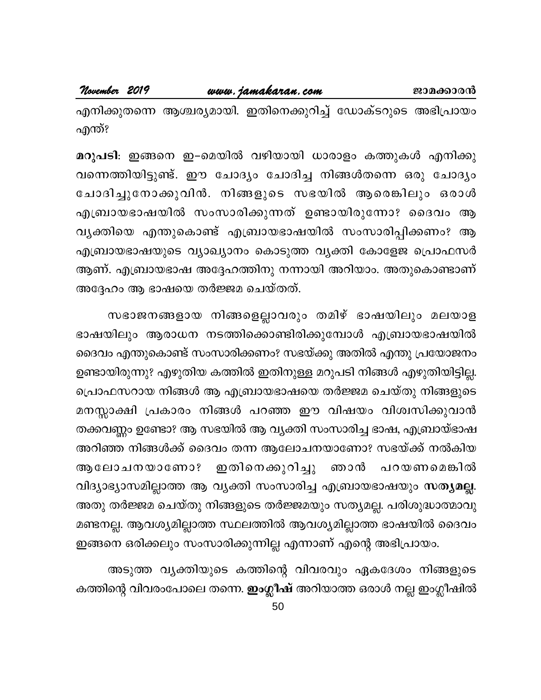November 2019 www.jamakaran.com ജാമക്കാരൻ

എനിക്കുതന്നെ ആശ്ചര്യമായി. ഇതിനെക്കുറിച്ച് ഡോക്ടറുടെ അഭിപ്രായം എന്ത്?

മറുപടി: ഇങ്ങനെ ഇ–മെയിൽ വഴിയായി ധാരാളം കത്തുകൾ എനിക്കു വന്നെത്തിയിട്ടുണ്ട്. ഈ ചോദ്യം ചോദിച്ച നിങ്ങൾതന്നെ ഒരു ചോദ്യം ചോദിച്ചുനോക്കുവിൻ. നിങ്ങളുടെ സഭയിൽ ആരെങ്കിലും ഒരാൾ എബ്രായഭാഷയിൽ സംസാരിക്കുന്നത് ഉണ്ടായിരുന്നോ? ദൈവം ആ വ്യക്തിയെ എന്തുകൊണ്ട് എബ്രായഭാഷയിൽ സംസാരിപ്പിക്കണം? ആ എബ്രായഭാഷയുടെ വ്യാഖ്യാനം കൊടുത്ത വ്യക്തി കോളേജ പ്രൊഫസർ ആണ്. എബ്രായഭാഷ അദ്ദേഹത്തിനു നന്നായി അറിയാം. അതുകൊണ്ടാണ് അദ്ദേഹം ആ ഭാഷയെ തർജ്ജമ ചെയ്തത്.

സഭാജനങ്ങളായ നിങ്ങളെല്ലാവരും തമിഴ് ഭാഷയിലും മലയാള ഭാഷയിലും ആരാധന നടത്തിക്കൊണ്ടിരിക്കുമ്പോൾ എബ്രായഭാഷയിൽ ദൈവം എന്തുകൊണ്ട് സംസാരിക്കണം? സഭയ്ക്കു അതിൽ എന്തു പ്രയോജനം ഉണ്ടായിരുന്നു? എഴുതിയ കത്തിൽ ഇതിനുള്ള മറുപടി നിങ്ങൾ എഴുതിയിട്ടില്ല. പ്രൊഫസറായ നിങ്ങൾ ആ എബ്രായഭാഷയെ തർജ്ജമ ചെയ്തു നിങ്ങളുടെ മനസ്സാക്ഷി പ്രകാരം നിങ്ങൾ പറഞ്ഞ ഈ വിഷയം വിശ്വസിക്കുവാൻ തക്കവണ്ണം ഉണ്ടോ? ആ സഭയിൽ ആ വ്യക്തി സംസാരിച്ച ഭാഷ, എബ്രായ്ഭാഷ അറിഞ്ഞ നിങ്ങൾക്ക് ദൈവം തന്ന ആലോചനയാണോ? സഭയ്ക്ക് നൽകിയ ഇതിനെക്കുറിച്ചു ആലോചനയാണോ? ഞാൻ പറയണമെങ്കിൽ വിദ്യാഭ്യാസമില്ലാത്ത ആ വ്യക്തി സംസാരിച്ച എബ്രായഭാഷയും സത്യമല്ല. അതു തർജ്ജമ ചെയ്തു നിങ്ങളുടെ തർജ്ജമയും സത്യമല്ല. പരിശുദ്ധാത്മാവു മണ്ടനല്ല. ആവശ്യമില്ലാത്ത സ്ഥലത്തിൽ ആവശ്യമില്ലാത്ത ഭാഷയിൽ ദൈവം ഇങ്ങനെ ഒരിക്കലും സംസാരിക്കുന്നില്ല എന്നാണ് എന്റെ അഭിപ്രായം.

അടുത്ത വൃക്തിയുടെ കത്തിന്റെ വിവരവും ഏകദേശം നിങ്ങളുടെ കത്തിന്റെ വിവരംപോലെ തന്നെ. **ഇംഗ്ലീഷ്** അറിയാത്ത ഒരാൾ നല്ല ഇംഗ്ലീഷിൽ

50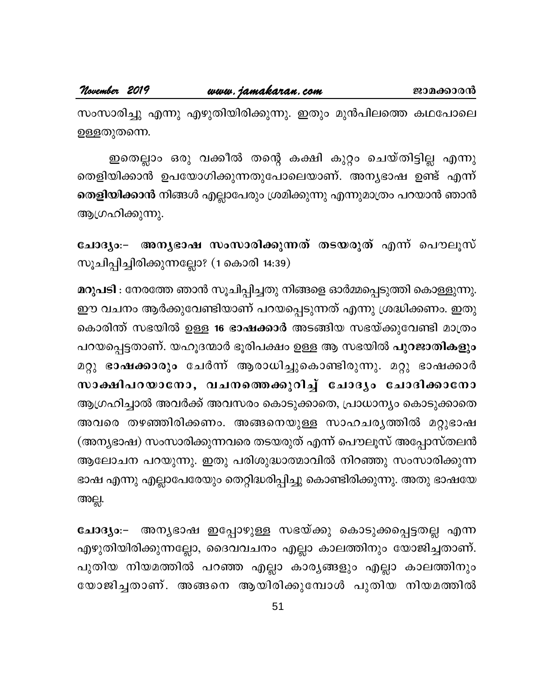സംസാരിച്ചു എന്നു എഴുതിയിരിക്കുന്നു. ഇതും മുൻപിലത്തെ കഥപോലെ ഉള്ളതുതന്നെ.

ഇതെല്ലാം ഒരു വക്കീൽ തന്റെ കക്ഷി കുറ്റം ചെയ്തിട്ടില്ല എന്നു തെളിയിക്കാൻ ഉപയോഗിക്കുന്നതുപോലെയാണ്. അനൃഭാഷ ഉണ്ട് എന്ന് **തെളിയിക്കാൻ** നിങ്ങൾ എല്ലാപേരും ശ്രമിക്കുന്നു എന്നുമാത്രം പറയാൻ ഞാൻ ആഗ്രഹിക്കുന്നു.

ചോദ്യം:– അന്യഭാഷ സംസാരിക്കുന്നത് തടയരുത് എന്ന് പൌലൂസ് സൂചിപ്പിച്ചിരിക്കുന്നല്ലോ? (1 കൊരി 14:39)

മറുപടി : നേരത്തേ ഞാൻ സൂചിപ്പിച്ചതു നിങ്ങളെ ഓർമ്മപ്പെടുത്തി കൊള്ളുന്നു. ഈ വചനം ആർക്കുവേണ്ടിയാണ് പറയപ്പെടുന്നത് എന്നു ശ്രദ്ധിക്കണം. ഇതു കൊരിന്ത് സഭയിൽ ഉള്ള **16 ഭാഷക്കാർ** അടങ്ങിയ സഭയ്ക്കുവേണ്ടി മാത്രം പറയപ്പെട്ടതാണ്. യഹൂദന്മാർ ഭൂരിപക്ഷം ഉള്ള ആ സഭയിൽ **പുറജാതികളും** മറ്റു ഭാഷക്കാരും ചേർന്ന് ആരാധിച്ചുകൊണ്ടിരുന്നു. മറ്റു ഭാഷക്കാർ സാക്ഷിപറയാനോ, വചനത്തെക്കുറിച്ച് ചോദ്യം ചോദിക്കാനോ ആഗ്രഹിച്ചാൽ അവർക്ക് അവസരം കൊടുക്കാതെ, പ്രാധാന്യം കൊടുക്കാതെ അവരെ തഴഞ്ഞിരിക്കണം. അങ്ങനെയുള്ള സാഹചര്യത്തിൽ മറ്റുഭാഷ (അന്യഭാഷ) സംസാരിക്കുന്നവരെ തടയരുത് എന്ന് പൌലൂസ് അപ്പോസ്തലൻ ആലോചന പറയുന്നു. ഇതു പരിശുദ്ധാത്മാവിൽ നിറഞ്ഞു സംസാരിക്കുന്ന ഭാഷ എന്നു എല്ലാപേരേയും തെറ്റിദ്ധരിപ്പിച്ചു കൊണ്ടിരിക്കുന്നു. അതു ഭാഷയേ അല്ല.

ചോദ്യം:− അന്യഭാഷ ഇപ്പോഴുള്ള സഭയ്ക്കു കൊടുക്കപ്പെട്ടതല്ല എന്ന എഴുതിയിരിക്കുന്നല്ലോ, ദൈവവചനം എല്ലാ കാലത്തിനും യോജിച്ചതാണ്. പുതിയ നിയമത്തിൽ പറഞ്ഞ എല്ലാ കാര്യങ്ങളും എല്ലാ കാലത്തിനും യോജിച്ചതാണ്. അങ്ങനെ ആയിരിക്കുമ്പോൾ പുതിയ നിയമത്തിൽ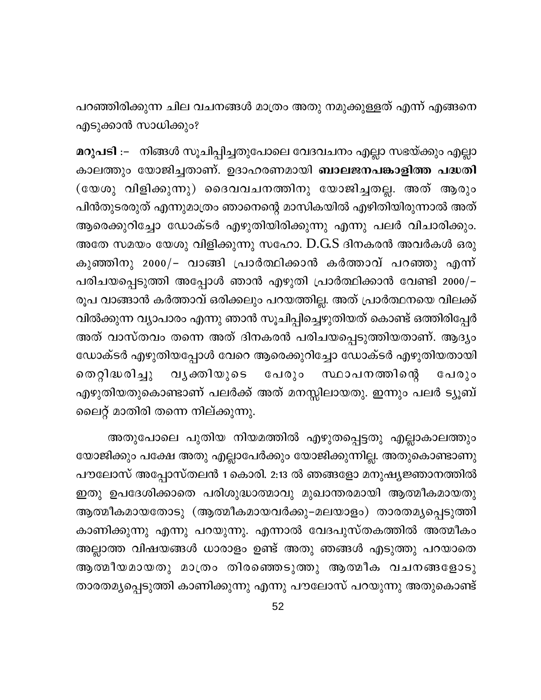പറഞ്ഞിരിക്കുന്ന ചില വചനങ്ങൾ മാത്രം അതു നമുക്കുള്ളത് എന്ന് എങ്ങനെ എടുക്കാൻ സാധിക്കും?

മറുപടി :– നിങ്ങൾ സൂചിപ്പിച്ചതുപോലെ വേദവചനം എല്ലാ സഭയ്ക്കും എല്ലാ കാലത്തും യോജിച്ചതാണ്. ഉദാഹരണമായി **ബാലജനപങ്കാളിത്ത പദ്ധതി** (യേശു വിളിക്കുന്നു) ദൈവവചനത്തിനു യോജിച്ചതല്ല. അത് ആരും പിൻതുടരരുത് എന്നുമാത്രം ഞാനെന്റെ മാസികയിൽ എഴിതിയിരുന്നാൽ അത് ആരെക്കുറിച്ചോ ഡോക്ടർ എഴുതിയിരിക്കുന്നു എന്നു പലർ വിചാരിക്കും. അതേ സമയം യേശു വിളിക്കുന്നു സഹോ. D.G.S ദിനകരൻ അവർകൾ ഒരു കുഞ്ഞിനു 2000/– വാങ്ങി പ്രാർത്ഥിക്കാൻ കർത്താവ് പറഞ്ഞു എന്ന് പരിചയപ്പെടുത്തി അപ്പോൾ ഞാൻ എഴുതി പ്രാർത്ഥിക്കാൻ വേണ്ടി 2000/-രൂപ വാങ്ങാൻ കർത്താവ് ഒരിക്കലും പറയത്തില്ല. അത് പ്രാർത്ഥനയെ വിലക്ക് വിൽക്കുന്ന വ്യാപാരം എന്നു ഞാൻ സൂചിപ്പിച്ചെഴുതിയത് കൊണ്ട് ഒത്തിരിപ്പേർ അത് വാസ്തവം തന്നെ അത് ദിനകരൻ പരിചയപ്പെടുത്തിയതാണ്. ആദ്യം ഡോക്ടർ എഴുതിയപ്പോൾ വേറെ ആരെക്കുറിച്ചോ ഡോക്ടർ എഴുതിയതായി തെറ്റിദ്ധരിച്ചു പേരും സ്ഥാപനത്തിന്റെ വൃക്തിയുടെ പേരും എഴുതിയതുകൊണ്ടാണ് പലർക്ക് അത് മനസ്സിലായതു. ഇന്നും പലർ ട്യൂബ് ലൈറ്റ് മാതിരി തന്നെ നില്ക്കുന്നു.

അതുപോലെ പുതിയ നിയമത്തിൽ എഴുതപ്പെട്ടതു എല്ലാകാലത്തും യോജിക്കും പക്ഷേ അതു എല്ലാപേർക്കും യോജിക്കുന്നില്ല. അതുകൊണ്ടാണു പൗലോസ് അപ്പോസ്തലൻ 1 കൊരി. 2:13 ൽ ഞങ്ങളോ മനുഷ്യജ്ഞാനത്തിൽ ഇതു ഉപദേശിക്കാതെ പരിശുദ്ധാത്മാവു മുഖാന്തരമായി ആത്മീകമായതു ആത്മീകമായതോടു (ആത്മീകമായവർക്കു–മലയാളം) താരതമൃപ്പെടുത്തി കാണിക്കുന്നു എന്നു പറയുന്നു. എന്നാൽ വേദപുസ്തകത്തിൽ അത്മീകം അല്ലാത്ത വിഷയങ്ങൾ ധാരാളം ഉണ്ട് അതു ഞങ്ങൾ എടുത്തു പറയാതെ ആത്മീയമായതു മാത്രം തിരഞ്ഞെടുത്തു ആത്മീക വചനങ്ങളോടു താരതമ്യപ്പെടുത്തി കാണിക്കുന്നു എന്നു പൗലോസ് പറയുന്നു അതുകൊണ്ട്

52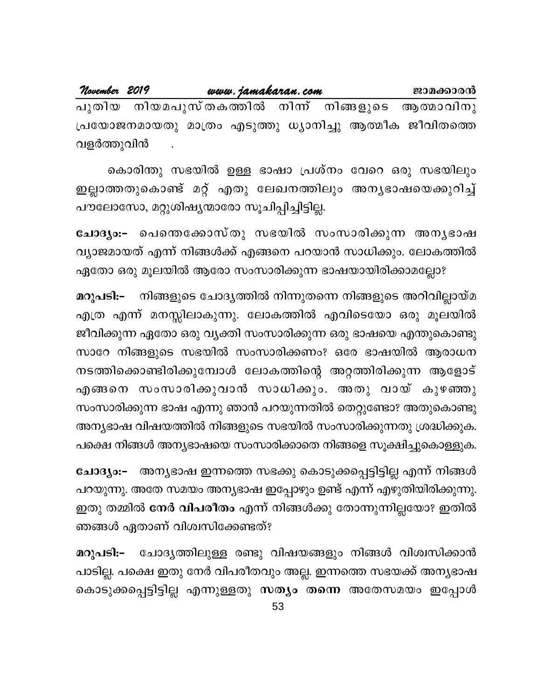<u>www.jamakaran.com</u> November 2019 ജാമക്കാരൻ പുതിയ നിയമപുസ്തകത്തിൽ നിന്ന് നിങ്ങളുടെ ആത്മാവിനു പ്രയോജനമായതു മാത്രം എടുത്തു ധ്യാനിച്ചു ആത്മീക ജീവിതത്തെ വളർത്തുവിൻ

കൊരിന്തു സഭയിൽ ഉള്ള ഭാഷാ പ്രശ്നം വേറെ ഒരു സഭയിലും ഇല്ലാത്തതുകൊണ്ട് മറ്റ് എതു ലേഖനത്തിലും അന്യഭാഷയെക്കുറിച്ച് പൗലോസോ, മറ്റുശിഷ്യന്മാരോ സൂചിപ്പിച്ചിട്ടില്ല.

ചോദ്യം:- പെന്തെക്കോസ്തു സഭയിൽ സംസാരിക്കുന്ന അനൃഭാഷ വ്യാജമായത് എന്ന് നിങ്ങൾക്ക് എങ്ങനെ പറയാൻ സാധിക്കും. ലോകത്തിൽ

ഏതോ ഒരു മൂലയിൽ ആരോ സംസാരിക്കുന്ന ഭാഷയായിരിക്കാമല്ലോ?

മറുപടി:– \_ നിങ്ങളുടെ ചോദ്യത്തിൽ നിന്നുതന്നെ നിങ്ങളുടെ അറിവില്ലായ്മ എത്ര എന്ന് മനസ്സിലാകുന്നു. ലോകത്തിൽ എവിടെയോ ഒരു മൂലയിൽ ജീവിക്കുന്ന ഏതോ ഒരു വ്യക്തി സംസാരിക്കുന്ന ഒരു ഭാഷയെ എന്തുകൊണ്ടു സാറേ നിങ്ങളുടെ സഭയിൽ സംസാരിക്കണം? ഒരേ ഭാഷയിൽ ആരാധന നടത്തിക്കൊണ്ടിരിക്കുമ്പോൾ ലോകത്തിന്റെ അറ്റത്തിരിക്കുന്ന ആളോട് എങ്ങനെ സംസാരിക്കുവാൻ സാധിക്കും. അതു വായ് കുഴഞ്ഞു സംസാരിക്കുന്ന ഭാഷ എന്നു ഞാൻ പറയുന്നതിൽ തെറ്റുണ്ടോ? അതുകൊണ്ടു അന്യഭാഷ വിഷയത്തിൽ നിങ്ങളുടെ സഭയിൽ സംസാരിക്കുന്നതു ശ്രദ്ധിക്കുക. പക്ഷെ നിങ്ങൾ അന്യഭാഷയെ സംസാരിക്കാതെ നിങ്ങളെ സൂക്ഷിച്ചുകൊള്ളുക.

ചോദ്യം:– അന്യഭാഷ ഇന്നത്തെ സഭക്കു കൊടുക്കപ്പെട്ടിട്ടില്ല എന്ന് നിങ്ങൾ പറയുന്നു. അതേ സമയം അന്യഭാഷ ഇപ്പോഴും ഉണ്ട് എന്ന് എഴുതിയിരിക്കുന്നു. ഇതു തമ്മിൽ നേർ വിപരീതം എന്ന് നിങ്ങൾക്കു തോന്നുന്നില്ലയോ? ഇതിൽ ഞങ്ങൾ ഏതാണ് വിശ്വസിക്കേണ്ടത്?

ചോദ്യത്തിലുള്ള രണ്ടു വിഷയങ്ങളും നിങ്ങൾ വിശ്വസിക്കാൻ മറുപടി:-പാടില്ല. പക്ഷെ ഇതു നേർ വിപരീതവും അല്ല. ഇന്നത്തെ സഭയക്ക് അനൃഭാഷ കൊടുക്കപ്പെട്ടിട്ടില്ല എന്നുള്ളതു സത്യം തന്നെ അതേസമയം ഇപ്പോൾ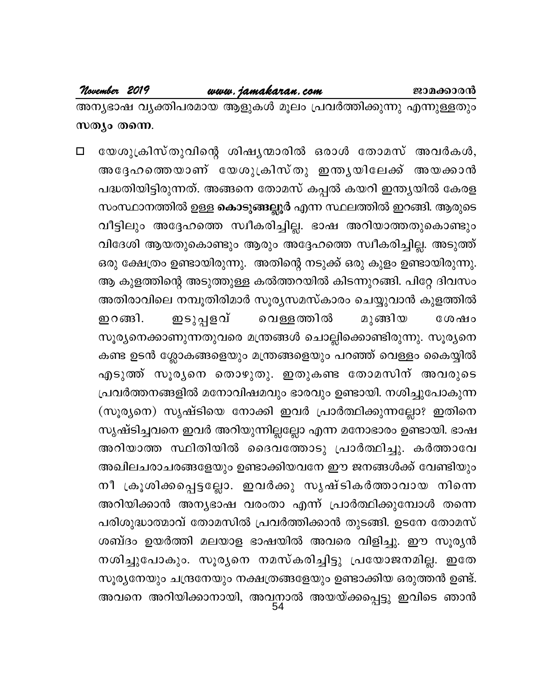അന്യഭാഷ വ്യക്തിപരമായ ആളുകൾ മൂലം പ്രവർത്തിക്കുന്നു എന്നുള്ളതും സത്യം തന്നെ.

യേശുക്രിസ്തുവിന്റെ ശിഷ്യന്മാരിൽ ഒരാൾ തോമസ് അവർകൾ,  $\Box$ അദ്ദേഹത്തെയാണ് യേശുക്രിസ്തു ഇന്തൃയിലേക്ക് അയക്കാൻ പദ്ധതിയിട്ടിരുന്നത്. അങ്ങനെ തോമസ് കപ്പൽ കയറി ഇന്ത്യയിൽ കേരള സംസ്ഥാനത്തിൽ ഉള്ള കൊടുങ്ങല്ലൂർ എന്ന സ്ഥലത്തിൽ ഇറങ്ങി. ആരുടെ വീട്ടിലും അദ്ദേഹത്തെ സ്വീകരിച്ചില്ല. ഭാഷ അറിയാത്തതുകൊണ്ടും വിദേശി ആയതുകൊണ്ടും ആരും അദ്ദേഹത്തെ സ്വീകരിച്ചില്ല. അടുത്ത് ഒരു ക്ഷേത്രം ഉണ്ടായിരുന്നു. അതിന്റെ നടുക്ക് ഒരു കുളം ഉണ്ടായിരുന്നു. ആ കുളത്തിന്റെ അടുത്തുള്ള കൽത്തറയിൽ കിടന്നുറങ്ങി. പിറ്റേ ദിവസം അതിരാവിലെ നമ്പൂതിരിമാർ സൂര്യസമസ്കാരം ചെയ്യുവാൻ കുളത്തിൽ ഇറങ്ങി. ഇടുപ്പളവ് വെള്ളത്തിൽ മുങ്ങിയ ശേഷം സൂര്യനെക്കാണുന്നതുവരെ മന്ത്രങ്ങൾ ചൊല്ലിക്കൊണ്ടിരുന്നു. സൂര്യനെ കണ്ട ഉടൻ ശ്ലോകങ്ങളെയും മന്ത്രങ്ങളെയും പറഞ്ഞ് വെള്ളം കൈയ്യിൽ എടുത്ത് സൂരൃനെ തൊഴുതു. ഇതുകണ്ട തോമസിന് അവരുടെ പ്രവർത്തനങ്ങളിൽ മനോവിഷമവും ഭാരവും ഉണ്ടായി. നശിച്ചുപോകുന്ന (സൂര്യനെ) സൃഷ്ടിയെ നോക്കി ഇവർ പ്രാർത്ഥിക്കുന്നല്ലോ? ഇതിനെ സൃഷ്ടിച്ചവനെ ഇവർ അറിയുന്നില്ലല്ലോ എന്ന മനോഭാരം ഉണ്ടായി. ഭാഷ അറിയാത്ത സ്ഥിതിയിൽ ദൈവത്തോടു പ്രാർത്ഥിച്ചു. കർത്താവേ അഖിലചരാചരങ്ങളേയും ഉണ്ടാക്കിയവനേ ഈ ജനങ്ങൾക്ക് വേണ്ടിയും നീ ക്രൂശിക്കപ്പെട്ടല്ലോ. ഇവർക്കു സൃഷ്ടികർത്താവായ നിന്നെ അറിയിക്കാൻ അന്യഭാഷ വരംതാ എന്ന് പ്രാർത്ഥിക്കുമ്പോൾ തന്നെ പരിശുദ്ധാത്മാവ് തോമസിൽ പ്രവർത്തിക്കാൻ തുടങ്ങി. ഉടനേ തോമസ് ശബ്ദം ഉയർത്തി മലയാള ഭാഷയിൽ അവരെ വിളിച്ചു. ഈ സൂര്യൻ നശിച്ചുപോകും. സൂര്യനെ നമസ്കരിച്ചിട്ടു പ്രയോജനമില്ല. ഇതേ സൂര്യനേയും ചന്ദ്രനേയും നക്ഷത്രങ്ങളേയും ഉണ്ടാക്കിയ ഒരുത്തൻ ഉണ്ട്. അവനെ അറിയിക്കാനായി, അവനാൽ അയയ്ക്കപ്പെട്ടു ഇവിടെ ഞാൻ<br>54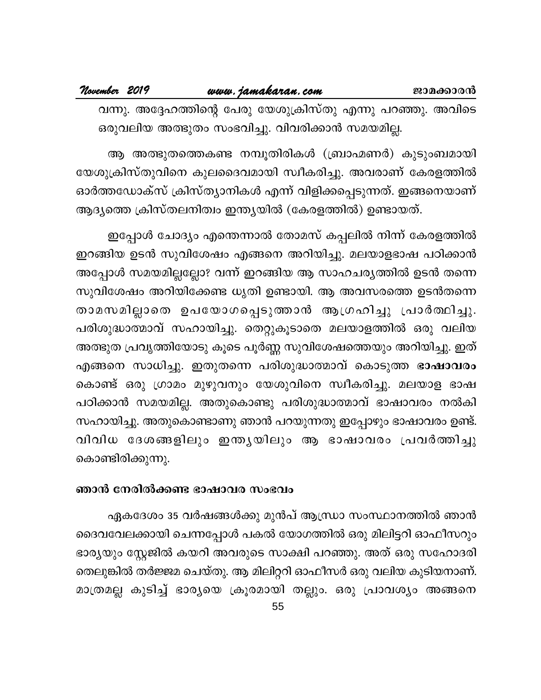ആ അത്ഭുതത്തെകണ്ട നമ്പൂതിരികൾ (ബ്രാഹ്മണർ) കുടുംബമായി യേശുക്രിസ്തുവിനെ കുലദൈവമായി സ്വീകരിച്ചു. അവരാണ് കേരളത്തിൽ ഓർത്തഡോക്സ് ക്രിസ്ത്യാനികൾ എന്ന് വിളിക്കപ്പെടുന്നത്. ഇങ്ങനെയാണ് ആദ്യത്തെ ക്രിസ്തലനിത്വം ഇന്ത്യയിൽ (കേരളത്തിൽ) ഉണ്ടായത്.

ഇപ്പോൾ ചോദ്യം എന്തെന്നാൽ തോമസ് കപ്പലിൽ നിന്ന് കേരളത്തിൽ ഇറങ്ങിയ ഉടൻ സുവിശേഷം എങ്ങനെ അറിയിച്ചു. മലയാളഭാഷ പഠിക്കാൻ അപ്പോൾ സമയമില്ലല്ലോ? വന്ന് ഇറങ്ങിയ ആ സാഹചര്യത്തിൽ ഉടൻ തന്നെ സുവിശേഷം അറിയിക്കേണ്ട ധൃതി ഉണ്ടായി. ആ അവസരത്തെ ഉടൻതന്നെ താമസമില്ലാതെ ഉപയോഗപ്പെടുത്താൻ ആഗ്രഹിച്ചു പ്രാർത്ഥിച്ചു. പരിശുദ്ധാത്മാവ് സഹായിച്ചു. തെറ്റുകൂടാതെ മലയാളത്തിൽ ഒരു വലിയ അത്ഭുത പ്രവൃത്തിയോടു കൂടെ പൂർണ്ണ സുവിശേഷത്തെയും അറിയിച്ചു. ഇത് എങ്ങനെ സാധിച്ചു. ഇതുതന്നെ പരിശുദ്ധാത്മാവ് കൊടുത്ത ഭാഷാവരം കൊണ്ട് ഒരു ഗ്രാമം മുഴുവനും യേശുവിനെ സ്വീകരിച്ചു. മലയാള ഭാഷ പഠിക്കാൻ സമയമില്ല. അതുകൊണ്ടു പരിശുദ്ധാത്മാവ് ഭാഷാവരം നൽകി സഹായിച്ചു. അതുകൊണ്ടാണു ഞാൻ പറയുന്നതു ഇപ്പോഴും ഭാഷാവരം ഉണ്ട്. വിവിധ ദേശങ്ങളിലും ഇന്ത്യയിലും ആ ഭാഷാവരം പ്രവർത്തിച്ചു കൊണ്ടിരിക്കുന്നു.

### ഞാൻ നേരിൽക്കണ്ട ഭാഷാവര സംഭവം

ഏകദേശം 35 വർഷങ്ങൾക്കു മുൻപ് ആന്ധ്രാ സംസ്ഥാനത്തിൽ ഞാൻ ദൈവവേലക്കായി ചെന്നപ്പോൾ പകൽ യോഗത്തിൽ ഒരു മിലിട്ടറി ഓഫീസറും ഭാര്യയും സ്റ്റേജിൽ കയറി അവരുടെ സാക്ഷി പറഞ്ഞു. അത് ഒരു സഹോദരി തെലുങ്കിൽ തർജ്ജമ ചെയ്തു. ആ മിലിറ്ററി ഓഫീസർ ഒരു വലിയ കുടിയനാണ്. മാത്രമല്ല കുടിച്ച് ഭാര്യയെ ക്രൂരമായി തല്ലും. ഒരു പ്രാവശ്യം അങ്ങനെ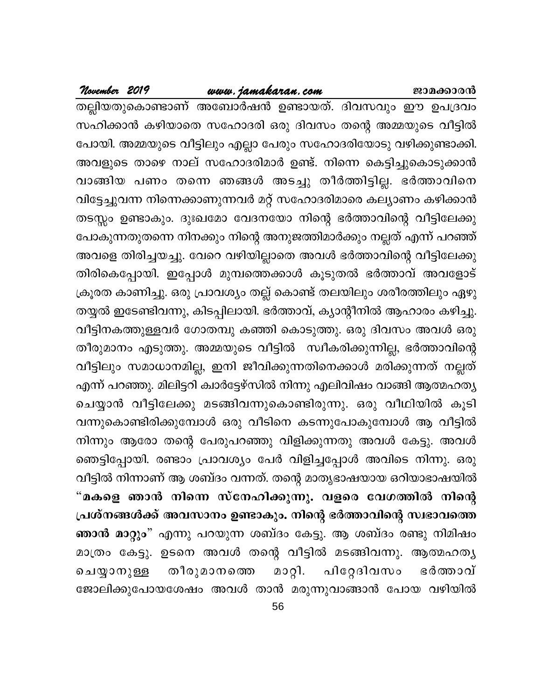### www.jamakaran.com

November 2019

തല്ലിയതുകൊണ്ടാണ് അബോർഷൻ ഉണ്ടായത്. ദിവസവും ഈ ഉപദ്രവം സഹിക്കാൻ കഴിയാതെ സഹോദരി ഒരു ദിവസം തന്റെ അമ്മയുടെ വീട്ടിൽ പോയി. അമ്മയുടെ വീട്ടിലും എല്ലാ പേരും സഹോദരിയോടു വഴിക്കുണ്ടാക്കി. അവളുടെ താഴെ നാല് സഹോദരിമാർ ഉണ്ട്. നിന്നെ കെട്ടിച്ചുകൊടുക്കാൻ വാങ്ങിയ പണം തന്നെ ഞങ്ങൾ അടച്ചു തീർത്തിട്ടില്ല. ഭർത്താവിനെ വിട്ടേച്ചുവന്ന നിന്നെക്കാണുന്നവർ മറ്റ് സഹോദരിമാരെ കല്യാണം കഴിക്കാൻ തടസ്സം ഉണ്ടാകും. ദുഃഖമോ വേദനയോ നിന്റെ ഭർത്താവിന്റെ വീട്ടിലേക്കു പോകുന്നതുതന്നെ നിനക്കും നിന്റെ അനുജത്തിമാർക്കും നല്ലത് എന്ന് പറഞ്ഞ് അവളെ തിരിച്ചയച്ചു. വേറെ വഴിയില്ലാതെ അവൾ ഭർത്താവിന്റെ വീട്ടിലേക്കു തിരികെപ്പോയി. ഇപ്പോൾ മുമ്പത്തെക്കാൾ കൂടുതൽ ഭർത്താവ് അവളോട് ക്രൂരത കാണിച്ചു. ഒരു പ്രാവശ്യം തല്ല് കൊണ്ട് തലയിലും ശരീരത്തിലും ഏഴു തയ്യൽ ഇടേണ്ടിവന്നു, കിടപ്പിലായി. ഭർത്താവ്, ക്യാന്റീനിൽ ആഹാരം കഴിച്ചു. വീട്ടിനകത്തുള്ളവർ ഗോതമ്പു കഞ്ഞി കൊടുത്തു. ഒരു ദിവസം അവൾ ഒരു തീരുമാനം എടുത്തു. അമ്മയുടെ വീട്ടിൽ സ്വീകരിക്കുന്നില്ല, ഭർത്താവിന്റെ വീട്ടിലും സമാധാനമില്ല, ഇനി ജീവിക്കുന്നതിനെക്കാൾ മരിക്കുന്നത് നല്ലത് എന്ന് പറഞ്ഞു. മിലിട്ടറി ക്വാർട്ടേഴ്സിൽ നിന്നു എലിവിഷം വാങ്ങി ആത്മഹത്യ ചെയ്യാൻ വീട്ടിലേക്കു മടങ്ങിവന്നുകൊണ്ടിരുന്നു. ഒരു വീഥിയിൽ കൂടി വന്നുകൊണ്ടിരിക്കുമ്പോൾ ഒരു വീടിനെ കടന്നുപോകുമ്പോൾ ആ വീട്ടിൽ നിന്നും ആരോ തന്റെ പേരുപറഞ്ഞു വിളിക്കുന്നതു അവൾ കേട്ടു. അവൾ ഞെട്ടിപ്പോയി. രണ്ടാം പ്രാവശ്യം പേർ വിളിച്ചപ്പോൾ അവിടെ നിന്നു. ഒരു വീട്ടിൽ നിന്നാണ് ആ ശബ്ദം വന്നത്. തന്റെ മാതൃഭാഷയായ ഒറിയാഭാഷയിൽ "മകളെ ഞാൻ നിന്നെ സ്നേഹിക്കുന്നു. വളരെ വേഗത്തിൽ നിന്റെ പ്രശ്നങ്ങൾക്ക് അവസാനം ഉണ്ടാകും. നിന്റെ ഭർത്താവിന്റെ സ്വഭാവത്തെ ഞാൻ മാറ്റും" എന്നു പറയുന്ന ശബ്ദം കേട്ടു. ആ ശബ്ദം രണ്ടു നിമിഷം മാത്രം കേട്ടു. ഉടനെ അവൾ തന്റെ വീട്ടിൽ മടങ്ങിവന്നു. ആത്മഹത്യ മാറ്റി. പിറ്റേദിവസം തീരുമാനത്തെ ഭർത്താവ് ചെയ്യാനുള്ള ജോലിക്കുപോയശേഷം അവൾ താൻ മരുന്നുവാങ്ങാൻ പോയ വഴിയിൽ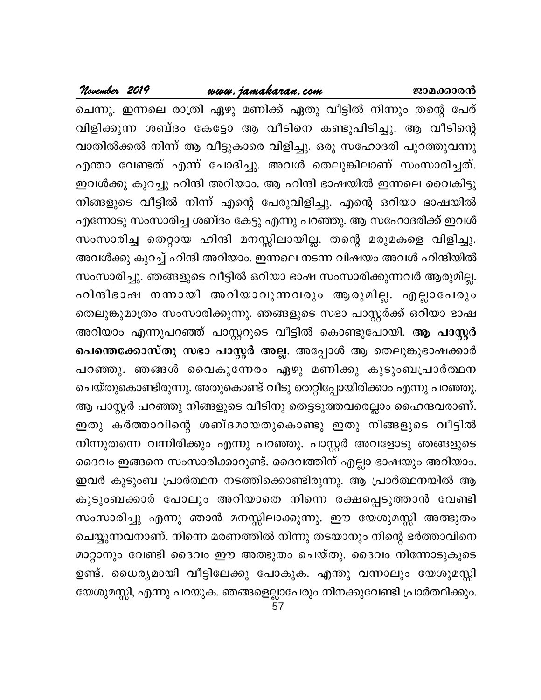## **November <sup>2019</sup> www.jamakaran.com Pma¡mc³**

ചെന്നു. ഇന്നലെ രാത്രി ഏഴു മണിക്ക് ഏതു വീട്ടിൽ നിന്നും തന്റെ പേര് hnfn¡p¶ i\_ vZw tIt«m B hoSns\ Ip]nSn¨p. B hoSnsâ വാതിൽക്കൽ നിന്ന് ആ വീട്ടുകാരെ വിളിച്ചു. ഒരു സഹോദരി പുറത്തുവന്നു ക്ക്ക്ക്ക് 2017 — ക്ക്ക് മ്രണിക്ക് ഏതു വീട്ടിൽ നിന്നും തന്റെ പേര്<br>ചെന്നു. ഇന്നലെ രാത്രി ഏഴു മണിക്ക് ഏതു വീട്ടിൽ നിന്നും തന്റെ പേര്<br>വിളിക്കുന്ന ശബ്ദം കേട്ടോ ആ വീടിനെ കണ്ടുപിടിച്ചു. ആ വീടിന്റെ<br>വാതിൽക്കൽ നിന്ന് ആ വീട്ടുകാരെ ഇവൾക്കു കുറച്ചു ഹിന്ദി അറിയാം. ആ ഹിന്ദി ഭാഷയിൽ ഇന്നലെ വൈകിട്ടു  $\alpha$ ിങ്ങളുടെ വീട്ടിൽ നിന്ന് എന്റെ പേരുവിളിച്ചു. എന്റെ ഒറിയാ ഭാഷയിൽ എന്നോടു സംസാരിച്ച ശബ്ദം കേട്ടു എന്നു പറഞ്ഞു. ആ സഹോദരിക്ക് ഇവൾ സംസാരിച്ച തെറ്റായ ഹിന്ദി മനസ്സിലായില്ല. തന്റെ മരുമകളെ വിളിച്ചു. അവൾക്കു കുറച്ച് ഹിന്ദി അറിയാം. ഇന്നലെ നടന്ന വിഷയം അവൾ ഹിന്ദിയിൽ സംസാരിച്ചു. ഞങ്ങളുടെ വീട്ടിൽ ഒറിയാ ഭാഷ സംസാരിക്കുന്നവർ ആരുമില്ല. എന്നോടു സാസാരുള്ള ശബ്ദാ കേട്ടു എന്നു പറഞ്ഞു. ആ സഹോദത്തെ ഇവാറ<br>സംസാരിച്ച തെറ്റായ ഹിന്ദി മനസ്സിലായില്ല. തന്റെ മരുമകളെ വിളിച്ചു.<br>അവൾക്കു കുറച്ച് ഹിന്ദി അറിയാം. ഇന്നലെ നടന്ന വിഷയം അവൾ ഹിന്ദിയിൽ<br>സംസാരിച്ചു. ഞങ്ങളുടെ വീട്ടിൽ ഒറി തെലുങ്കുമാത്രം സംസാരിക്കുന്നു. ഞങ്ങളുടെ സഭാ പാസ്റ്റർക്ക് ഒറിയാ ഭാഷ അറിയാം എന്നുപറഞ്ഞ് പാസ്റ്ററുടെ വീട്ടിൽ കൊണ്ടുപോയി. **ആ പാസ്റ്റർ പെന്തെക്കോസ്തു സഭാ പാസ്റ്റർ അല്ല**. അപ്പോൾ ആ തെലുങ്കുഭാഷക്കാർ പറഞ്ഞു. ഞങ്ങൾ വൈകുന്നേരം ഏഴു മണിക്കു കുടുംബപ്രാർത്ഥന ചെയ്തുകൊണ്ടിരുന്നു. അതുകൊണ്ട് വീടു തെറ്റിപ്പോയിരിക്കാം എന്നു പറഞ്ഞു. ആ പാസ്റ്റർ പറഞ്ഞു നിങ്ങളുടെ വീടിനു തെട്ടടുത്തവരെല്ലാം ഹൈന്ദവരാണ്. പെസെക്കോസതു സഭാ പാസ്റ്റര അല്ല. അപ്പോശ ആ തെലുകുടാഷക്കാര<br>പറഞ്ഞു. ഞങ്ങൾ വൈകുന്നേരം ഏഴു മണിക്കു കുടുംബപ്രാർത്ഥന<br>ചെയ്തുകൊണ്ടിരുന്നു. അതുകൊണ്ട് വീടു തെറ്റിപ്പോയിരിക്കാം എന്നു പറഞ്ഞു.<br>ആ പാസ്റ്റർ പറഞ്ഞു നിങ്ങളുടെ വീടിനു തെട് ിന്നുതന്നെ വന്നിരിക്കും എന്നു പറഞ്ഞു. പാസ്റ്റർ അവളോടു ഞങ്ങളുടെ ദൈവം ഇങ്ങനെ സംസാരിക്കാറുണ്ട്. ദൈവത്തിന് എല്ലാ ഭാഷയും അറിയാം. ഇവർ കുടുംബ പ്രാർത്ഥന നടത്തിക്കൊണ്ടിരുന്നു. ആ പ്രാർത്ഥനയിൽ ആ കുടുംബക്കാർ പോലും അറിയാതെ നിന്നെ രക്ഷപ്പെടുത്താൻ വേണ്ടി സംസാരിച്ചു എന്നു ഞാൻ മനസ്സിലാക്കുന്നു. ഈ യേശുമസ്സി അത്ഭുതം ചെയ്യുന്നവനാണ്. നിന്നെ മരണത്തിൽ നിന്നു തടയാനും നിന്റെ ഭർത്താവിനെ മാറ്റാനും വേണ്ടി ദൈവം ഈ അത്ഭുതം ചെയ്തു. ദൈവം നിന്നോടുകൂടെ കുടുംബക്കാര പോലും അറിയാതെ നിന്നെ രക്ഷപ്പെടുത്താന വേണ്ടി<br>സംസാരിച്ചു എന്നു ഞാൻ മനസ്സിലാക്കുന്നു. ഈ യേശുമസ്സി അത്ഭുതം<br>ചെയ്യുന്നവനാണ്. നിന്നെ മരണത്തിൽ നിന്നു തടയാനും നിന്റെ ഭർത്താവിനെ<br>മാറ്റാനും വേണ്ടി ദൈവം ഈ അത്ഭുതം ചെയ്തു. ദ യേശുമസ്സി, എന്നു പറയുക. ഞങ്ങളെല്ലാപേരും നിനക്കുവേണ്ടി പ്രാർത്ഥിക്കും.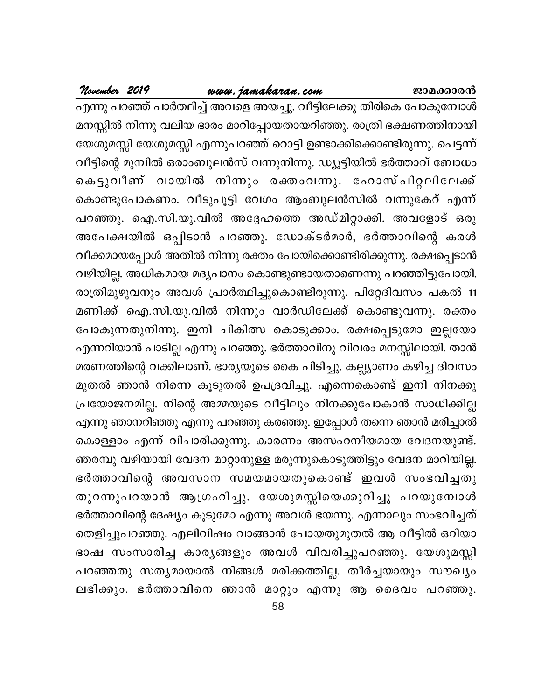### <u>www.jamakaran.com</u>

November 2019

എന്നു പറഞ്ഞ് പാർത്ഥിച്ച് അവളെ അയച്ചു. വീട്ടിലേക്കു തിരികെ പോകുമ്പോൾ മനസ്സിൽ നിന്നു വലിയ ഭാരം മാറിപ്പോയതായറിഞ്ഞു. രാത്രി ഭക്ഷണത്തിനായി യേശുമസ്സി യേശുമസ്സി എന്നുപറഞ്ഞ് റൊട്ടി ഉണ്ടാക്കിക്കൊണ്ടിരുന്നു. പെട്ടന്ന് വീട്ടിന്റെ മുമ്പിൽ ഒരാംബുലൻസ് വന്നുനിന്നു. ഡ്യൂട്ടിയിൽ ഭർത്താവ് ബോധം കെട്ടുവീണ് വായിൽ നിന്നും രക്തംവന്നു. ഹോസ്പിറ്റലിലേക്ക് കൊണ്ടുപോകണം. വീടുപൂട്ടി വേഗം ആംബുലൻസിൽ വന്നുകേറ് എന്ന് പറഞ്ഞു. ഐ.സി.യു.വിൽ അദ്ദേഹത്തെ അഡ്മിറ്റാക്കി. അവളോട് ഒരു അപേക്ഷയിൽ ഒപ്പിടാൻ പറഞ്ഞു. ഡോക്ടർമാർ, ഭർത്താവിന്റെ കരൾ വീക്കമായപ്പോൾ അതിൽ നിന്നു രക്തം പോയിക്കൊണ്ടിരിക്കുന്നു. രക്ഷപ്പെടാൻ വഴിയില്ല. അധികമായ മദ്യപാനം കൊണ്ടുണ്ടായതാണെന്നു പറഞ്ഞിട്ടുപോയി. രാത്രിമുഴുവനും അവൾ പ്രാർത്ഥിച്ചുകൊണ്ടിരുന്നു. പിറ്റേദിവസം പകൽ 11 മണിക്ക് ഐ.സി.യു.വിൽ നിന്നും വാർഡിലേക്ക് കൊണ്ടുവന്നു. രക്തം പോകുന്നതുനിന്നു. ഇനി ചികിത്സ കൊടുക്കാം. രക്ഷപ്പെടുമോ ഇല്ലയോ എന്നറിയാൻ പാടില്ല എന്നു പറഞ്ഞു. ഭർത്താവിനു വിവരം മനസ്സിലായി. താൻ മരണത്തിന്റെ വക്കിലാണ്. ഭാര്യയുടെ കൈ പിടിച്ചു. കല്ല്യാണം കഴിച്ച ദിവസം മുതൽ ഞാൻ നിന്നെ കൂടുതൽ ഉപദ്രവിച്ചു. എന്നെകൊണ്ട് ഇനി നിനക്കു പ്രയോജനമില്ല. നിന്റെ അമ്മയുടെ വീട്ടിലും നിനക്കുപോകാൻ സാധിക്കില്ല എന്നു ഞാനറിഞ്ഞു എന്നു പറഞ്ഞു കരഞ്ഞു. ഇപ്പോൾ തന്നെ ഞാൻ മരിച്ചാൽ കൊള്ളാം എന്ന് വിചാരിക്കുന്നു. കാരണം അസഹനീയമായ വേദനയുണ്ട്. ഞരമ്പു വഴിയായി വേദന മാറ്റാനുള്ള മരുന്നുകൊടുത്തിട്ടും വേദന മാറിയില്ല. ഭർത്താവിന്റെ അവസാന സമയമായതുകൊണ്ട് ഇവൾ സംഭവിച്ചതു തുറന്നുപറയാൻ ആഗ്രഹിച്ചു. യേശുമസ്സിയെക്കുറിച്ചു പറയുമ്പോൾ ഭർത്താവിന്റെ ദേഷ്യം കൂടുമോ എന്നു അവൾ ഭയന്നു. എന്നാലും സംഭവിച്ചത് തെളിച്ചുപറഞ്ഞു. എലിവിഷം വാങ്ങാൻ പോയതുമുതൽ ആ വീട്ടിൽ ഒറിയാ ഭാഷ സംസാരിച്ച കാരൃങ്ങളും അവൾ വിവരിച്ചുപറഞ്ഞു. യേശുമസ്സി പറഞ്ഞതു സത്യമായാൽ നിങ്ങൾ മരിക്കത്തില്ല. തീർച്ചയായും സൗഖ്യം ലഭിക്കും. ഭർത്താവിനെ ഞാൻ മാറ്റും എന്നു ആ ദൈവം പറഞ്ഞു.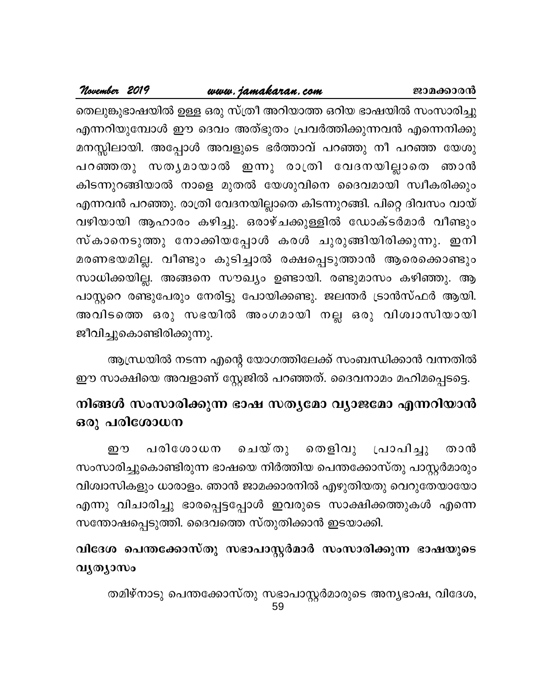### <u>www.jamakaran.com</u> ജാമക്കാരൻ

November 2019

തെലുങ്കുഭാഷയിൽ ഉള്ള ഒരു സ്ത്രീ അറിയാത്ത ഒറിയ ഭാഷയിൽ സംസാരിച്ചു എന്നറിയുമ്പോൾ ഈ ദെവം അത്ഭുതം പ്രവർത്തിക്കുന്നവൻ എന്നെനിക്കു മനസ്സിലായി. അപ്പോൾ അവളുടെ ഭർത്താവ് പറഞ്ഞു നീ പറഞ്ഞ യേശു പറഞ്ഞതു സതൃമായാൽ ഇന്നു രാത്രി വേദനയില്ലാതെ ഞാൻ കിടന്നുറങ്ങിയാൽ നാളെ മുതൽ യേശുവിനെ ദൈവമായി സ്വീകരിക്കും എന്നവൻ പറഞ്ഞു. രാത്രി വേദനയില്ലാതെ കിടന്നുറങ്ങി. പിറ്റെ ദിവസം വായ് വഴിയായി ആഹാരം കഴിച്ചു. ഒരാഴ്ചക്കുള്ളിൽ ഡോക്ടർമാർ വീണ്ടും സ്കാനെടുത്തു നോക്കിയപ്പോൾ കരൾ ചുരുങ്ങിയിരിക്കുന്നു. ഇനി മരണഭയമില്ല. വീണ്ടും കുടിച്ചാൽ രക്ഷപ്പെടുത്താൻ ആരെക്കൊണ്ടും സാധിക്കയില്ല. അങ്ങനെ സൗഖ്യം ഉണ്ടായി. രണ്ടുമാസം കഴിഞ്ഞു. ആ പാസ്റ്ററെ രണ്ടുപേരും നേരിട്ടു പോയിക്കണ്ടു. ജലന്തർ ട്രാൻസ്ഫർ ആയി. അവിടത്തെ ഒരു സഭയിൽ അംഗമായി നല്ല ഒരു വിശ്വാസിയായി ജീവിച്ചുകൊണ്ടിരിക്കുന്നു.

ആന്ധ്രയിൽ നടന്ന എന്റെ യോഗത്തിലേക്ക് സംബന്ധിക്കാൻ വന്നതിൽ ഈ സാക്ഷിയെ അവളാണ് സ്റ്റേജിൽ പറഞ്ഞത്. ദൈവനാമം മഹിമപ്പെടട്ടെ.

### നിങ്ങൾ സംസാരിക്കുന്ന ഭാഷ സതൃമോ വ്യാജമോ എന്നറിയാൻ ഒരു പരിശോധന

ചെയ്തു തെളിവു പരിശോധന പ്രാപിച്ചു ஹு താൻ സംസാരിച്ചുകൊണ്ടിരുന്ന ഭാഷയെ നിർത്തിയ പെന്തക്കോസ്തു പാസ്റ്റർമാരും വിശ്വാസികളും ധാരാളം. ഞാൻ ജാമക്കാരനിൽ എഴുതിയതു വെറുതേയായോ എന്നു വിചാരിച്ചു ഭാരപ്പെട്ടപ്പോൾ ഇവരുടെ സാക്ഷിക്കത്തുകൾ എന്നെ സന്തോഷപ്പെടുത്തി. ദൈവത്തെ സ്തുതിക്കാൻ ഇടയാക്കി.

### വിദേശ പെന്തക്കോസ്തു സഭാപാസ്റ്റർമാർ സംസാരിക്കുന്ന ഭാഷയുടെ വൃത്യാസം

തമിഴ്നാടു പെന്തക്കോസ്തു സഭാപാസ്റ്റർമാരുടെ അന്യഭാഷ, വിദേശ, 59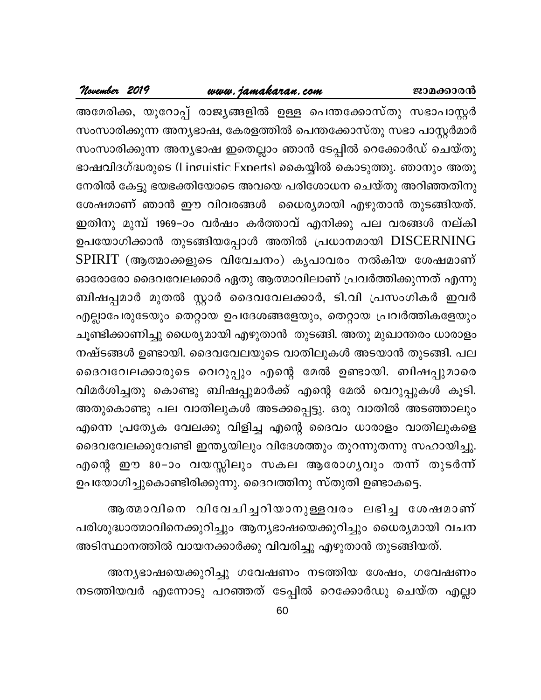### www.jamakaran.com

November 2019

അമേരിക്ക, യൂറോപ്പ് രാജ്യങ്ങളിൽ ഉള്ള പെന്തക്കോസ്തു സഭാപാസ്റ്റർ സംസാരിക്കുന്ന അന്യഭാഷ, കേരളത്തിൽ പെന്തക്കോസ്തു സഭാ പാസ്റ്റർമാർ സംസാരിക്കുന്ന അന്യഭാഷ ഇതെല്ലാം ഞാൻ ടേപ്പിൽ റെക്കോർഡ് ചെയ്തു ഭാഷവിദഗ്ദ്ധരുടെ (Lineuistic Experts) കൈയ്യിൽ കൊടുത്തു. ഞാനും അതു നേരിൽ കേട്ടു ഭയഭക്തിയോടെ അവയെ പരിശോധന ചെയ്തു അറിഞ്ഞതിനു ശേഷമാണ് ഞാൻ ഈ വിവരങ്ങൾ ധൈര്യമായി എഴുതാൻ തുടങ്ങിയത്. ഇതിനു മുമ്പ് 1969–ാം വർഷം കർത്താവ് എനിക്കു പല വരങ്ങൾ നല്കി ഉപയോഗിക്കാൻ തുടങ്ങിയപ്പോൾ അതിൽ പ്രധാനമായി DISCERNING SPIRIT (ആത്മാക്കളുടെ വിവേചനം) കൃപാവരം നൽകിയ ശേഷമാണ് ഓരോരോ ദൈവവേലക്കാർ ഏതു ആത്മാവിലാണ് പ്രവർത്തിക്കുന്നത് എന്നു ബിഷപ്പമാർ മുതൽ സ്റ്റാർ ദൈവവേലക്കാർ, ടി.വി പ്രസംഗികർ ഇവർ എല്ലാപേരുടേയും തെറ്റായ ഉപദേശങ്ങളേയും, തെറ്റായ പ്രവർത്തികളേയും ചൂണ്ടിക്കാണിച്ചു ധൈര്യമായി എഴുതാൻ തുടങ്ങി. അതു മുഖാന്തരം ധാരാളം നഷ്ടങ്ങൾ ഉണ്ടായി. ദൈവവേലയുടെ വാതിലുകൾ അടയാൻ തുടങ്ങി. പല ദൈവവേലക്കാരുടെ വെറുപ്പും എന്റെ മേൽ ഉണ്ടായി. ബിഷപ്പുമാരെ വിമർശിച്ചതു കൊണ്ടു ബിഷപ്പുമാർക്ക് എന്റെ മേൽ വെറുപ്പുകൾ കൂടി. അതുകൊണ്ടു പല വാതിലുകൾ അടക്കപ്പെട്ടു. ഒരു വാതിൽ അടഞ്ഞാലും എന്നെ പ്രത്യേക വേലക്കു വിളിച്ച എന്റെ ദൈവം ധാരാളം വാതിലുകളെ ദൈവവേലക്കുവേണ്ടി ഇന്ത്യയിലും വിദേശത്തും തുറന്നുതന്നു സഹായിച്ചു. എന്റെ ഈ 80−ാം വയസ്സിലും സകല ആരോഗൃവും തന്ന് തുടർന്ന് ഉപയോഗിച്ചുകൊണ്ടിരിക്കുന്നു. ദൈവത്തിനു സ്തുതി ഉണ്ടാകട്ടെ.

ആത്മാവിനെ വിവേചിച്ചറിയാനുള്ളവരം ലഭിച്ച ശേഷമാണ് പരിശുദ്ധാത്മാവിനെക്കുറിച്ചും ആന്യഭാഷയെക്കുറിച്ചും ധൈര്യമായി വചന അടിസ്ഥാനത്തിൽ വായനക്കാർക്കു വിവരിച്ചു എഴുതാൻ തുടങ്ങിയത്.

അന്യഭാഷയെക്കുറിച്ചു ഗവേഷണം നടത്തിയ ശേഷം, ഗവേഷണം നടത്തിയവർ എന്നോടു പറഞ്ഞത് ടേപ്പിൽ റെക്കോർഡു ചെയ്ത എല്ലാ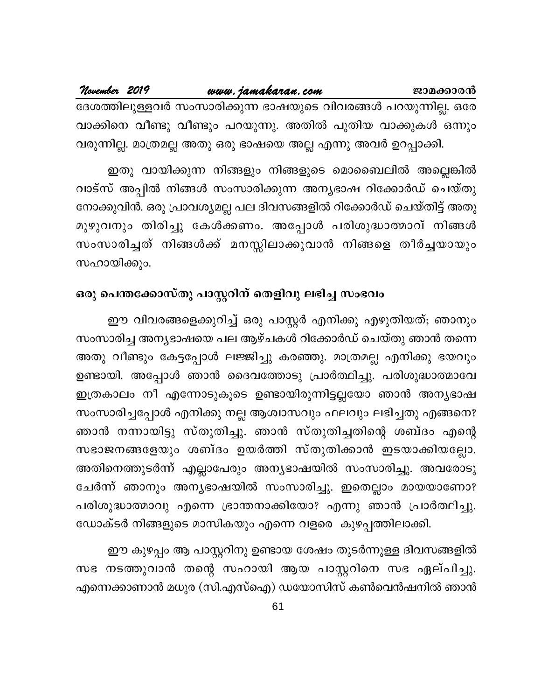| November 2019 | www.jamakaran.com                                              | ജാമക്കാരൻ |  |
|---------------|----------------------------------------------------------------|-----------|--|
|               | ദേശത്തിലുള്ളവർ സംസാരിക്കുന്ന ഭാഷയുടെ വിവരങ്ങൾ പറയുന്നില്ല. ഒരേ |           |  |
|               | വാക്കിനെ വീണ്ടു വീണ്ടും പറയുന്നു. അതിൽ പുതിയ വാക്കുകൾ ഒന്നും   |           |  |
|               | വരുന്നില്ല. മാത്രമല്ല അതു ഒരു ഭാഷയെ അല്ല എന്നു അവർ ഉറപ്പാക്കി. |           |  |

ഇതു വായിക്കുന്ന നിങ്ങളും നിങ്ങളുടെ മൊബൈലിൽ അല്ലെങ്കിൽ വാട്സ് അപ്പിൽ നിങ്ങൾ സംസാരിക്കുന്ന അന്യഭാഷ റിക്കോർഡ് ചെയ്തു നോക്കുവിൻ. ഒരു പ്രാവശ്യമല്ല പല ദിവസങ്ങളിൽ റിക്കോർഡ് ചെയ്തിട്ട് അതു മുഴുവനും തിരിച്ചു കേൾക്കണം. അപ്പോൾ പരിശുദ്ധാത്മാവ് നിങ്ങൾ സംസാരിച്ചത് നിങ്ങൾക്ക് മനസ്സിലാക്കുവാൻ നിങ്ങളെ തീർച്ചയായും സഹായിക്കും.

### ഒരു പെന്തക്കോസ്തു പാസ്റ്ററിന് തെളിവു ലഭിച്ച സംഭവം

ഈ വിവരങ്ങളെക്കുറിച്ച് ഒരു പാസ്റ്റർ എനിക്കു എഴുതിയത്; ഞാനും സംസാരിച്ച അന്യഭാഷയെ പല ആഴ്ചകൾ റിക്കോർഡ് ചെയ്തു ഞാൻ തന്നെ അതു വീണ്ടും കേട്ടപ്പോൾ ലജ്ജിച്ചു കരഞ്ഞു. മാത്രമല്ല എനിക്കു ഭയവും ഉണ്ടായി. അപ്പോൾ ഞാൻ ദൈവത്തോടു പ്രാർത്ഥിച്ചു. പരിശുദ്ധാത്മാവേ ഇത്രകാലം നീ എന്നോടുകൂടെ ഉണ്ടായിരുന്നിട്ടല്ലയോ ഞാൻ അന്യഭാഷ സംസാരിച്ചപ്പോൾ എനിക്കു നല്ല ആശ്വാസവും ഫലവും ലഭിച്ചതു എങ്ങനെ? ഞാൻ നന്നായിട്ടു സ്തുതിച്ചു. ഞാൻ സ്തുതിച്ചതിന്റെ ശബ്ദം എന്റെ സഭാജനങ്ങളേയും ശബ്ദം ഉയർത്തി സ്തുതിക്കാൻ ഇടയാക്കിയല്ലോ. അതിനെത്തുടർന്ന് എല്ലാപേരും അന്യഭാഷയിൽ സംസാരിച്ചു. അവരോടു ചേർന്ന് ഞാനും അന്യഭാഷയിൽ സംസാരിച്ചു. ഇതെല്ലാം മായയാണോ? പരിശുദ്ധാത്മാവു എന്നെ ഭ്രാന്തനാക്കിയോ? എന്നു ഞാൻ പ്രാർത്ഥിച്ചു. ഡോക്ടർ നിങ്ങളുടെ മാസികയും എന്നെ വളരെ കുഴപ്പത്തിലാക്കി.

ഈ കുഴപ്പം ആ പാസ്റ്ററിനു ഉണ്ടായ ശേഷം തുടർന്നുള്ള ദിവസങ്ങളിൽ സഭ നടത്തുവാൻ തന്റെ സഹായി ആയ പാസ്റ്ററിനെ സഭ ഏല്പിച്ചു. എന്നെക്കാണാൻ മധുര (സി.എസ്ഐ) ഡയോസിസ് കൺവെൻഷനിൽ ഞാൻ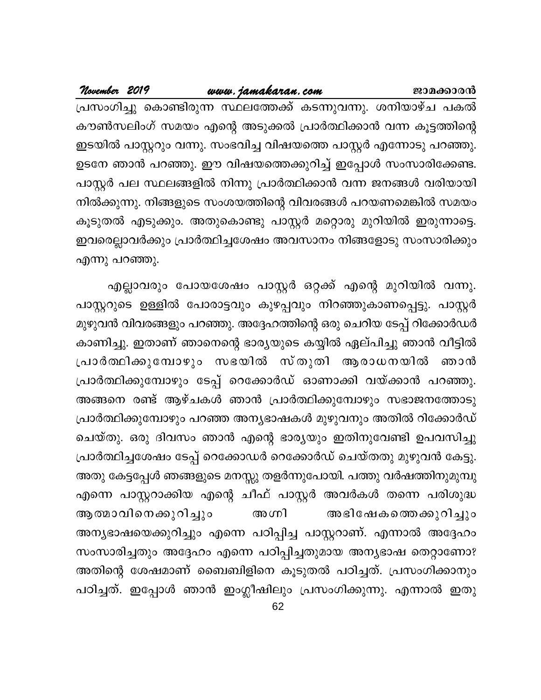### www.jamakaran.com

November 2019

പ്രസംഗിച്ചു കൊണ്ടിരുന്ന സ്ഥലത്തേക്ക് കടന്നുവന്നു. ശനിയാഴ്ച പകൽ കൗൺസലിംഗ് സമയം എന്റെ അടുക്കൽ പ്രാർത്ഥിക്കാൻ വന്ന കൂട്ടത്തിന്റെ ഇടയിൽ പാസ്റ്ററും വന്നു. സംഭവിച്ച വിഷയത്തെ പാസ്റ്റർ എന്നോടു പറഞ്ഞു. ഉടനേ ഞാൻ പറഞ്ഞു. ഈ വിഷയത്തെക്കുറിച്ച് ഇപ്പോൾ സംസാരിക്കേണ്ട. പാസ്റ്റർ പല സ്ഥലങ്ങളിൽ നിന്നു പ്രാർത്ഥിക്കാൻ വന്ന ജനങ്ങൾ വരിയായി നിൽക്കുന്നു. നിങ്ങളുടെ സംശയത്തിന്റെ വിവരങ്ങൾ പറയണമെങ്കിൽ സമയം കൂടുതൽ എടുക്കും. അതുകൊണ്ടു പാസ്റ്റർ മറ്റൊരു മുറിയിൽ ഇരുന്നാട്ടെ. ഇവരെല്ലാവർക്കും പ്രാർത്ഥിച്ചശേഷം അവസാനം നിങ്ങളോടു സംസാരിക്കും എന്നു പറഞ്ഞു.

എല്ലാവരും പോയശേഷം പാസ്റ്റർ ഒറ്റക്ക് എന്റെ മുറിയിൽ വന്നു. പാസ്റ്ററുടെ ഉള്ളിൽ പോരാട്ടവും കുഴപ്പവും നിറഞ്ഞുകാണപ്പെട്ടു. പാസ്റ്റർ മുഴുവൻ വിവരങ്ങളും പറഞ്ഞു. അദ്ദേഹത്തിന്റെ ഒരു ചെറിയ ടേപ്പ് റിക്കോർഡർ കാണിച്ചു. ഇതാണ് ഞാനെന്റെ ഭാര്യയുടെ കയ്യിൽ ഏല്പിച്ചു ഞാൻ വീട്ടിൽ പ്രാർത്ഥിക്കുമ്പോഴും സഭയിൽ സ്തുതി ആരാധനയിൽ ഞാൻ പ്രാർത്ഥിക്കുമ്പോഴും ടേപ്പ് റെക്കോർഡ് ഓണാക്കി വയ്ക്കാൻ പറഞ്ഞു. അങ്ങനെ രണ്ട് ആഴ്ചകൾ ഞാൻ പ്രാർത്ഥിക്കുമ്പോഴും സഭാജനത്തോടു പ്രാർത്ഥിക്കുമ്പോഴും പറഞ്ഞ അന്യഭാഷകൾ മുഴുവനും അതിൽ റിക്കോർഡ് ചെയ്തു. ഒരു ദിവസം ഞാൻ എന്റെ ഭാര്യയും ഇതിനുവേണ്ടി ഉപവസിച്ചു പ്രാർത്ഥിച്ചശേഷം ടേപ്പ് റെക്കോഡർ റെക്കോർഡ് ചെയ്തതു മുഴുവൻ കേട്ടു. അതു കേട്ടപ്പേൾ ഞങ്ങളുടെ മനസ്സു തളർന്നുപോയി. പത്തു വർഷത്തിനുമുമ്പു എന്നെ പാസ്റ്ററാക്കിയ എന്റെ ചീഫ് പാസ്റ്റർ അവർകൾ തന്നെ പരിശുദ്ധ അഗ്നി ആത്മാവിനെക്കുറിച്ചും അഭിഷേകത്തെക്കുറിച്ചും അന്യഭാഷയെക്കുറിച്ചും എന്നെ പഠിപ്പിച്ച പാസ്റ്ററാണ്. എന്നാൽ അദ്ദേഹം സംസാരിച്ചതും അദ്ദേഹം എന്നെ പഠിപ്പിച്ചതുമായ അന്യഭാഷ തെറ്റാണോ? അതിന്റെ ശേഷമാണ് ബൈബിളിനെ കൂടുതൽ പഠിച്ചത്. പ്രസംഗിക്കാനും പഠിച്ചത്. ഇപ്പോൾ ഞാൻ ഇംഗ്ലീഷിലും പ്രസംഗിക്കുന്നു. എന്നാൽ ഇതു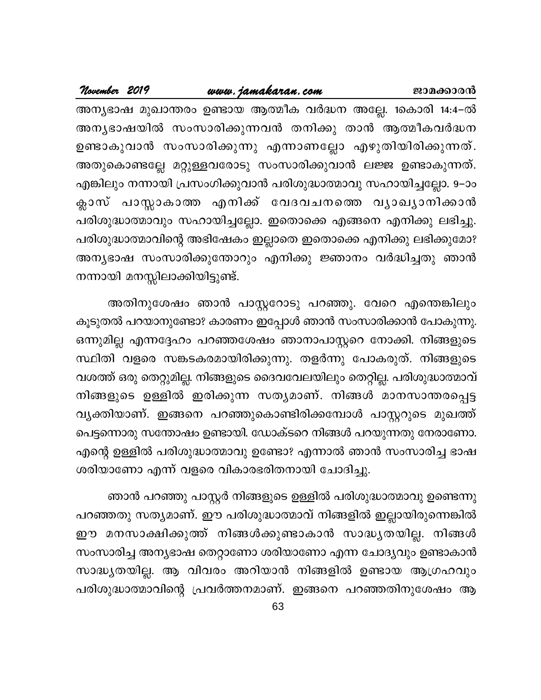### <u>www.jamakaran.com</u> ജാമക്കാരൻ

November 2019

അന്യഭാഷ മുഖാന്തരം ഉണ്ടായ ആത്മീക വർദ്ധന അല്ലേ. 1കൊരി 14:4–ൽ അനൃഭാഷയിൽ സംസാരിക്കുന്നവൻ തനിക്കു താൻ ആത്മീകവർദ്ധന ഉണ്ടാകുവാൻ സംസാരിക്കുന്നു എന്നാണല്ലോ എഴുതിയിരിക്കുന്നത്. അതുകൊണ്ടല്ലേ മറ്റുള്ളവരോടു സംസാരിക്കുവാൻ ലജ്ജ ഉണ്ടാകുന്നത്. എങ്കിലും നന്നായി പ്രസംഗിക്കുവാൻ പരിശുദ്ധാത്മാവു സഹായിച്ചല്ലോ. 9–ാം ക്ലാസ് പാസ്സാകാത്ത എനിക്ക് വേദവചനത്തെ വൃാഖൃാനിക്കാൻ പരിശുദ്ധാത്മാവും സഹായിച്ചല്ലോ. ഇതൊക്കെ എങ്ങനെ എനിക്കു ലഭിച്ചു. പരിശുദ്ധാത്മാവിന്റെ അഭിഷേകം ഇല്ലാതെ ഇതൊക്കെ എനിക്കു ലഭിക്കുമോ? അന്യഭാഷ സംസാരിക്കുന്തോറും എനിക്കു ജ്ഞാനം വർദ്ധിച്ചതു ഞാൻ നന്നായി മനസ്സിലാക്കിയിട്ടുണ്ട്.

അതിനുശേഷം ഞാൻ പാസ്റ്ററോടു പറഞ്ഞു. വേറെ എന്തെങ്കിലും കൂടുതൽ പറയാനുണ്ടോ? കാരണം ഇപ്പോൾ ഞാൻ സംസാരിക്കാൻ പോകുന്നു. ഒന്നുമില്ല എന്നദ്ദേഹം പറഞ്ഞശേഷം ഞാനാപാസ്റ്ററെ നോക്കി. നിങ്ങളുടെ സ്ഥിതി വളരെ സങ്കടകരമായിരിക്കുന്നു. തളർന്നു പോകരുത്. നിങ്ങളുടെ വശത്ത് ഒരു തെറ്റുമില്ല. നിങ്ങളുടെ ദൈവവേലയിലും തെറ്റില്ല. പരിശുദ്ധാത്മാവ് നിങ്ങളുടെ ഉള്ളിൽ ഇരിക്കുന്ന സത്യമാണ്. നിങ്ങൾ മാനസാന്തരപ്പെട്ട വ്യക്തിയാണ്. ഇങ്ങനെ പറഞ്ഞുകൊണ്ടിരിക്കമ്പോൾ പാസ്റ്ററുടെ മുഖത്ത് പെട്ടന്നൊരു സന്തോഷം ഉണ്ടായി. ഡോക്ടറെ നിങ്ങൾ പറയുന്നതു നേരാണോ. എന്റെ ഉള്ളിൽ പരിശുദ്ധാത്മാവു ഉണ്ടോ? എന്നാൽ ഞാൻ സംസാരിച്ച ഭാഷ ശരിയാണോ എന്ന് വളരെ വികാരഭരിതനായി ചോദിച്ചു.

ഞാൻ പറഞ്ഞു പാസ്റ്റർ നിങ്ങളുടെ ഉള്ളിൽ പരിശുദ്ധാത്മാവു ഉണ്ടെന്നു പറഞ്ഞതു സത്യമാണ്. ഈ പരിശുദ്ധാത്മാവ് നിങ്ങളിൽ ഇല്ലായിരുന്നെങ്കിൽ ഈ മനസാക്ഷിക്കുത്ത് നിങ്ങൾക്കുണ്ടാകാൻ സാദ്ധ്യതയില്ല. നിങ്ങൾ സംസാരിച്ച അന്യഭാഷ തെറ്റാണോ ശരിയാണോ എന്ന ചോദ്യവും ഉണ്ടാകാൻ സാദ്ധ്യതയില്ല. ആ വിവരം അറിയാൻ നിങ്ങളിൽ ഉണ്ടായ ആഗ്രഹവും പരിശുദ്ധാത്മാവിന്റെ പ്രവർത്തനമാണ്. ഇങ്ങനെ പറഞ്ഞതിനുശേഷം ആ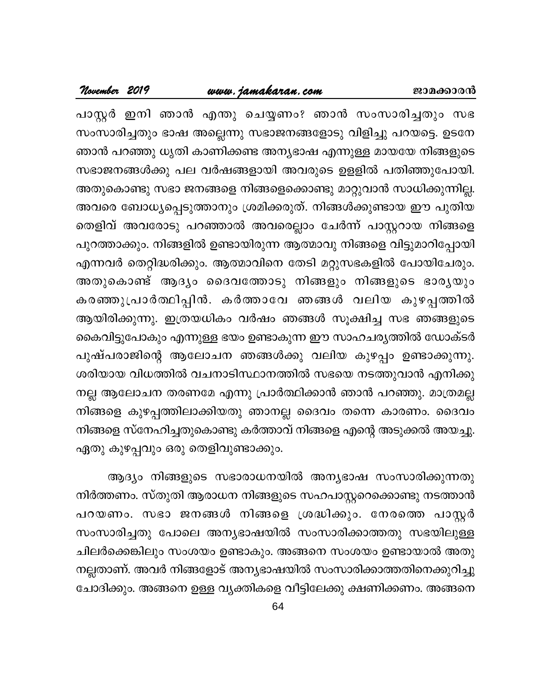### <u>www.jamakaran.com</u>

പാസ്റ്റർ ഇനി ഞാൻ എന്തു ചെയ്യണം? ഞാൻ സംസാരിച്ചതും സഭ സംസാരിച്ചതും ഭാഷ അല്ലെന്നു സഭാജനങ്ങളോടു വിളിച്ചു പറയട്ടെ. ഉടനേ ഞാൻ പറഞ്ഞു ധൃതി കാണിക്കണ്ട അന്യഭാഷ എന്നുള്ള മായയേ നിങ്ങളുടെ സഭാജനങ്ങൾക്കു പല വർഷങ്ങളായി അവരുടെ ഉളളിൽ പതിഞ്ഞുപോയി. അതുകൊണ്ടു സഭാ ജനങ്ങളെ നിങ്ങളെക്കൊണ്ടു മാറ്റുവാൻ സാധിക്കുന്നില്ല. അവരെ ബോധ്യപ്പെടുത്താനും ശ്രമിക്കരുത്. നിങ്ങൾക്കുണ്ടായ ഈ പുതിയ തെളിവ് അവരോടു പറഞ്ഞാൽ അവരെല്ലാം ചേർന്ന് പാസ്റ്ററായ നിങ്ങളെ പുറത്താക്കും. നിങ്ങളിൽ ഉണ്ടായിരുന്ന ആത്മാവു നിങ്ങളെ വിട്ടുമാറിപ്പോയി എന്നവർ തെറ്റിദ്ധരിക്കും. ആത്മാവിനെ തേടി മറ്റുസഭകളിൽ പോയിചേരും. അതുകൊണ്ട് ആദ്യം ദൈവത്തോടു നിങ്ങളും നിങ്ങളുടെ ഭാര്യയും കരഞ്ഞുപ്രാർത്ഥിപ്പിൻ. കർത്താവേ ഞങ്ങൾ വലിയ കുഴപ്പത്തിൽ ആയിരിക്കുന്നു. ഇത്രയധികം വർഷം ഞങ്ങൾ സൂക്ഷിച്ച സഭ ഞങ്ങളുടെ കൈവിട്ടുപോകും എന്നുള്ള ഭയം ഉണ്ടാകുന്ന ഈ സാഹചര്യത്തിൽ ഡോക്ടർ പുഷ്പരാജിന്റെ ആലോചന ഞങ്ങൾക്കു വലിയ കുഴപ്പം ഉണ്ടാക്കുന്നു. ശരിയായ വിധത്തിൽ വചനാടിസ്ഥാനത്തിൽ സഭയെ നടത്തുവാൻ എനിക്കു നല്ല ആലോചന തരണമേ എന്നു പ്രാർത്ഥിക്കാൻ ഞാൻ പറഞ്ഞു. മാത്രമല്ല നിങ്ങളെ കുഴപ്പത്തിലാക്കിയതു ഞാനല്ല ദൈവം തന്നെ കാരണം. ദൈവം നിങ്ങളെ സ്നേഹിച്ചതുകൊണ്ടു കർത്താവ് നിങ്ങളെ എന്റെ അടുക്കൽ അയച്ചു. ഏതു കുഴപ്പവും ഒരു തെളിവുണ്ടാക്കും.

ആദ്യം നിങ്ങളുടെ സഭാരാധനയിൽ അന്യഭാഷ സംസാരിക്കുന്നതു നിർത്തണം. സ്തുതി ആരാധന നിങ്ങളുടെ സഹപാസ്റ്ററെക്കൊണ്ടു നടത്താൻ പറയണം. സഭാ ജനങ്ങൾ നിങ്ങളെ ശ്രദ്ധിക്കും. നേരത്തെ പാസ്റ്റർ സംസാരിച്ചതു പോലെ അന്യഭാഷയിൽ സംസാരിക്കാത്തതു സഭയിലുള്ള ചിലർക്കെങ്കിലും സംശയം ഉണ്ടാകും. അങ്ങനെ സംശയം ഉണ്ടായാൽ അതു നല്ലതാണ്. അവർ നിങ്ങളോട് അന്യഭാഷയിൽ സംസാരിക്കാത്തതിനെക്കുറിച്ചു ചോദിക്കും. അങ്ങനെ ഉള്ള വ്യക്തികളെ വീട്ടിലേക്കു ക്ഷണിക്കണം. അങ്ങനെ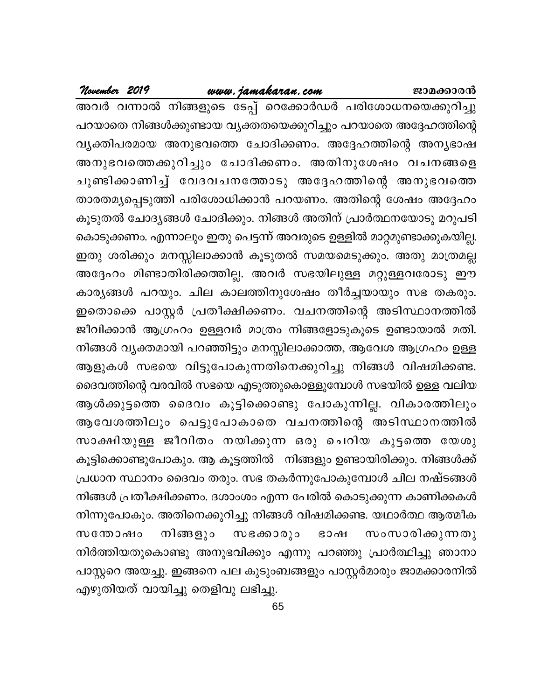### www.jamakaran.com

November 2019

അവർ വന്നാൽ നിങ്ങളുടെ ടേപ്പ് റെക്കോർഡർ പരിശോധനയെക്കുറിച്ചു പറയാതെ നിങ്ങൾക്കുണ്ടായ വ്യക്തതയെക്കുറിച്ചും പറയാതെ അദ്ദേഹത്തിന്റെ വ്യക്തിപരമായ അനുഭവത്തെ ചോദിക്കണം. അദ്ദേഹത്തിന്റെ അന്യഭാഷ അനുഭവത്തെക്കുറിച്ചും ചോദിക്കണം. അതിനുശേഷം വചനങ്ങളെ ചൂണ്ടിക്കാണിച്ച് വേദവചനത്തോടു അദ്ദേഹത്തിന്റെ അനുഭവത്തെ താരതമ്യപ്പെടുത്തി പരിശോധിക്കാൻ പറയണം. അതിന്റെ ശേഷം അദ്ദേഹം കൂടുതൽ ചോദ്യങ്ങൾ ചോദിക്കും. നിങ്ങൾ അതിന് പ്രാർത്ഥനയോടു മറുപടി കൊടുക്കണം. എന്നാലും ഇതു പെട്ടന്ന് അവരുടെ ഉള്ളിൽ മാറ്റമുണ്ടാക്കുകയില്ല. ഇതു ശരിക്കും മനസ്സിലാക്കാൻ കൂടുതൽ സമയമെടുക്കും. അതു മാത്രമല്ല അദ്ദേഹം മിണ്ടാതിരിക്കത്തില്ല. അവർ സഭയിലുള്ള മറ്റുള്ളവരോടു ഈ കാര്യങ്ങൾ പറയും. ചില കാലത്തിനുശേഷം തീർച്ചയായും സഭ തകരും. ഇതൊക്കെ പാസ്റ്റർ പ്രതീക്ഷിക്കണം. വചനത്തിന്റെ അടിസ്ഥാനത്തിൽ ജീവിക്കാൻ ആഗ്രഹം ഉള്ളവർ മാത്രം നിങ്ങളോടുകൂടെ ഉണ്ടായാൽ മതി. നിങ്ങൾ വൃക്തമായി പറഞ്ഞിട്ടും മനസ്സിലാക്കാത്ത, ആവേശ ആഗ്രഹം ഉള്ള ആളുകൾ സഭയെ വിട്ടുപോകുന്നതിനെക്കുറിച്ചു നിങ്ങൾ വിഷമിക്കണ്ട. ദൈവത്തിന്റെ വരവിൽ സഭയെ എടുത്തുകൊള്ളുമ്പോൾ സഭയിൽ ഉള്ള വലിയ ആൾക്കൂട്ടത്തെ ദൈവം കൂട്ടിക്കൊണ്ടു പോകുന്നില്ല. വികാരത്തിലും ആവേശത്തിലും പെട്ടുപോകാതെ വചനത്തിന്റെ അടിസ്ഥാനത്തിൽ സാക്ഷിയുള്ള ജീവിതം നയിക്കുന്ന ഒരു ചെറിയ കൂട്ടത്തെ യേശു കൂട്ടിക്കൊണ്ടുപോകും. ആ കൂട്ടത്തിൽ നിങ്ങളും ഉണ്ടായിരിക്കും. നിങ്ങൾക്ക് പ്രധാന സ്ഥാനം ദൈവം തരും. സഭ തകർന്നുപോകുമ്പോൾ ചില നഷ്ടങ്ങൾ നിങ്ങൾ പ്രതീക്ഷിക്കണം. ദശാംശം എന്ന പേരിൽ കൊടുക്കുന്ന കാണിക്കകൾ നിന്നുപോകും. അതിനെക്കുറിച്ചു നിങ്ങൾ വിഷമിക്കണ്ട. യഥാർത്ഥ ആത്മീക നിങ്ങളും സഭക്കാരും സംസാരിക്കുന്നതു സന്തോഷം ഭാഷ നിർത്തിയതുകൊണ്ടു അനുഭവിക്കും എന്നു പറഞ്ഞു പ്രാർത്ഥിച്ചു ഞാനാ പാസ്റ്ററെ അയച്ചു. ഇങ്ങനെ പല കുടുംബങ്ങളും പാസ്റ്റർമാരും ജാമക്കാരനിൽ എഴുതിയത് വായിച്ചു തെളിവു ലഭിച്ചു.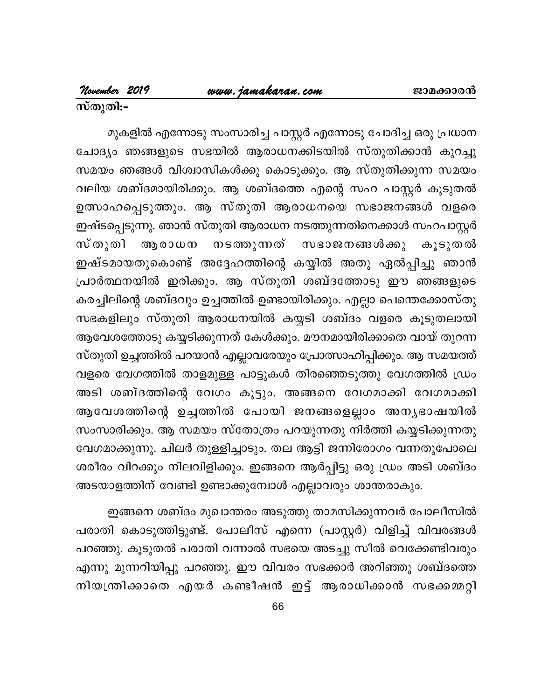മുകളിൽ എന്നോടു സംസാരിച്ച പാസ്റ്റർ എന്നോടു ചോദിച്ച ഒരു പ്രധാന ചോദ്യം ഞങ്ങളുടെ സഭയിൽ ആരാധനക്കിടയിൽ സ്തുതിക്കാൻ കുറച്ചു സമയം ഞങ്ങൾ വിശ്വാസികൾക്കു കൊടുക്കും. ആ സ്തുതിക്കുന്ന സമയം വലിയ ശബ്ദമായിരിക്കും. ആ ശബ്ദത്തെ എന്റെ സഹ പാസ്റ്റർ കൂടുതൽ ഉത്സാഹപ്പെടുത്തും. ആ സ്തുതി ആരാധനയെ സഭാജനങ്ങൾ വളരെ ഇഷ്ടപ്പെടുന്നു. ഞാൻ സ്തുതി ആരാധന നടത്തുന്നതിനെക്കാൾ സഹപാസ്റ്റർ സ്തുതി നടത്തുന്നത് ആരാധന സഭാജനങ്ങൾക്കു കൂടുതൽ ഇഷ്ടമായതുകൊണ്ട് അദ്ദേഹത്തിന്റെ കയ്യിൽ അതു ഏൽപ്പിച്ചു ഞാൻ പ്രാർത്ഥനയിൽ ഇരിക്കും. ആ സ്തുതി ശബ്ദത്തോടു ഈ ഞങ്ങളുടെ കരച്ചിലിന്റെ ശബ്ദവും ഉച്ചത്തിൽ ഉണ്ടായിരിക്കും. എല്ലാ പെന്തെക്കോസ്തു സഭകളിലും സ്തുതി ആരാധനയിൽ കയ്യടി ശബ്ദം വളരെ കൂടുതലായി ആവേശത്തോടു കയ്യടിക്കുന്നത് കേൾക്കും. മൗനമായിരിക്കാതെ വായ് തുറന്ന സ്തുതി ഉച്ചത്തിൽ പറയാൻ എല്ലാവരേയും പ്രോത്സാഹിപ്പിക്കും. ആ സമയത്ത് വളരെ വേഗത്തിൽ താളമുള്ള പാട്ടുകൾ തിരഞ്ഞെടുത്തു വേഗത്തിൽ ഡ്രം അടി ശബ്ദത്തിന്റെ വേഗം കൂട്ടും. അങ്ങനെ വേഗമാക്കി വേഗമാക്കി ആവേശത്തിന്റെ ഉച്ചത്തിൽ പോയി ജനങ്ങളെല്ലാം അനൃഭാഷയിൽ സംസാരിക്കും. ആ സമയം സ്തോത്രം പറയുന്നതു നിർത്തി കയ്യടിക്കുന്നതു വേഗമാക്കുന്നു. ചിലർ തുള്ളിച്ചാടും. തല ആട്ടി ജന്നിരോഗം വന്നതുപോലെ ശരീരം വിറക്കും നിലവിളിക്കും. ഇങ്ങനെ ആർപ്പിട്ടു ഒരു ഡ്രം അടി ശബ്ദം അടയാളത്തിന് വേണ്ടി ഉണ്ടാക്കുമ്പോൾ എല്ലാവരും ശാന്തരാകും.

ഇങ്ങനെ ശബ്ദം മുഖാന്തരം അടുത്തു താമസിക്കുന്നവർ പോലീസിൽ പരാതി കൊടുത്തിട്ടുണ്ട്. പോലീസ് എന്നെ (പാസ്റ്റർ) വിളിച്ച് വിവരങ്ങൾ പറഞ്ഞു. കൂടുതൽ പരാതി വന്നാൽ സഭയെ അടച്ചു സീൽ വെക്കേണ്ടിവരും എന്നു മുന്നറിയിപ്പു പറഞ്ഞു. ഈ വിവരം സഭക്കാർ അറിഞ്ഞു ശബ്ദത്തെ നിയന്ത്രിക്കാതെ എയർ കണ്ടീഷൻ ഇട്ട് ആരാധിക്കാൻ സഭക്കമ്മറ്റി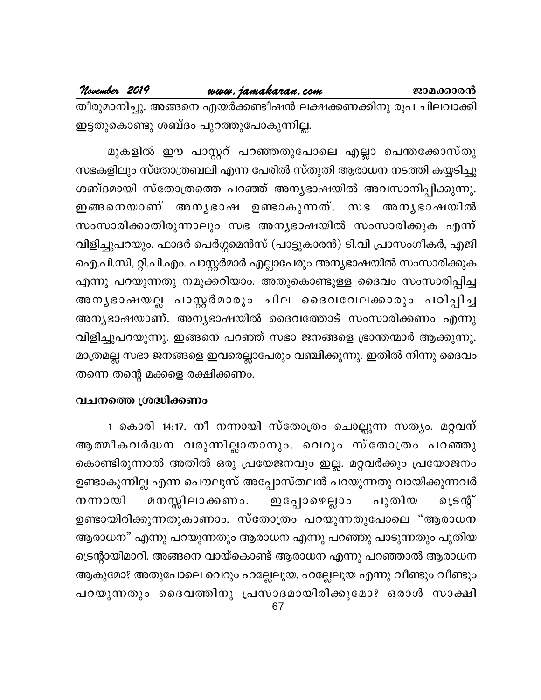### <u>www.jamakaran.com</u>

November 2019

തീരുമാനിച്ചു. അങ്ങനെ എയർക്കണ്ടീഷൻ ലക്ഷക്കണക്കിനു രൂപ ചിലവാക്കി ഇട്ടതുകൊണ്ടു ശബ്ദം പുറത്തുപോകുന്നില്ല.

മുകളിൽ ഈ പാസ്റ്ററ് പറഞ്ഞതുപോലെ എല്ലാ പെന്തക്കോസ്തു സഭകളിലും സ്തോത്രബലി എന്ന പേരിൽ സ്തുതി ആരാധന നടത്തി കയ്യടിച്ചു ശബ്ദമായി സ്തോത്രത്തെ പറഞ്ഞ് അന്യഭാഷയിൽ അവസാനിപ്പിക്കുന്നു. ഇങ്ങനെയാണ് അനൃഭാഷ ഉണ്ടാകുന്നത്. സഭ അനൃഭാഷയിൽ സംസാരിക്കാതിരുന്നാലും സഭ അനൃഭാഷയിൽ സംസാരിക്കുക എന്ന് വിളിച്ചുപറയും. ഫാദർ പെർഗ്ഗമെൻസ് (പാട്ടുകാരൻ) ടി.വി പ്രാസംഗീകർ, എജി ഐ.പി.സി, റ്റി.പി.എം. പാസ്റ്റർമാർ എല്ലാപേരും അന്യഭാഷയിൽ സംസാരിക്കുക എന്നു പറയുന്നതു നമുക്കറിയാം. അതുകൊണ്ടുള്ള ദൈവം സംസാരിപ്പിച്ച അനൃഭാഷയല്ല പാസ്റ്റർമാരും ചില ദൈവവേലക്കാരും പഠിപ്പിച്ച അന്യഭാഷയാണ്. അന്യഭാഷയിൽ ദൈവത്തോട് സംസാരിക്കണം എന്നു വിളിച്ചുപറയുന്നു. ഇങ്ങനെ പറഞ്ഞ് സഭാ ജനങ്ങളെ ഭ്രാന്തന്മാർ ആക്കുന്നു. മാത്രമല്ല സഭാ ജനങ്ങളെ ഇവരെല്ലാപേരും വഞ്ചിക്കുന്നു. ഇതിൽ നിന്നു ദൈവം തന്നെ തന്റെ മക്കളെ രക്ഷിക്കണം.

### വചനത്തെ ശ്രദ്ധിക്കണം

1 കൊരി 14:17. നീ നന്നായി സ്തോത്രം ചൊല്ലുന്ന സത്യം. മറ്റവന് ആത്മീകവർദ്ധന വരുന്നില്ലാതാനും. വെറും സ്തോത്രം പറഞ്ഞു കൊണ്ടിരുന്നാൽ അതിൽ ഒരു പ്രയേജനവും ഇല്ല. മറ്റവർക്കും പ്രയോജനം ഉണ്ടാകുന്നില്ല എന്ന പൌലൂസ് അപ്പോസ്തലൻ പറയുന്നതു വായിക്കുന്നവർ മനസ്സിലാക്കണം. പുതിയ നന്നായി ഇപ്പോഴെല്ലാം പ്രന്റ് ഉണ്ടായിരിക്കുന്നതുകാണാം. സ്തോത്രം പറയുന്നതുപോലെ "ആരാധന ആരാധന" എന്നു പറയുന്നതും ആരാധന എന്നു പറഞ്ഞു പാടുന്നതും പുതിയ ട്രെന്റായിമാറി. അങ്ങനെ വായ്കൊണ്ട് ആരാധന എന്നു പറഞ്ഞാൽ ആരാധന ആകുമോ? അതുപോലെ വെറും ഹല്ലേലൂയ, ഹല്ലേലൂയ എന്നു വീണ്ടും വീണ്ടും പറയുന്നതും ദൈവത്തിനു പ്രസാദമായിരിക്കുമോ? ഒരാൾ സാക്ഷി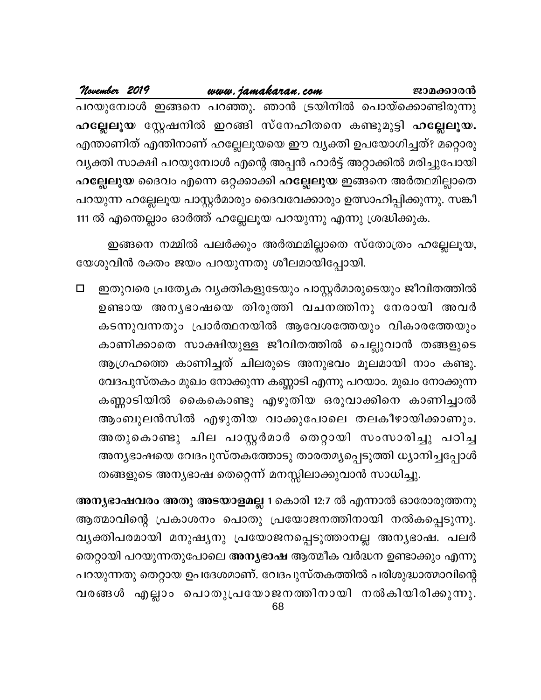| November 2019 |  | www.jamakaran.com |  |                                                               | ജാമക്കാരൻ                                                              |
|---------------|--|-------------------|--|---------------------------------------------------------------|------------------------------------------------------------------------|
|               |  |                   |  |                                                               | പറയുമ്പോൾ ഇങ്ങനെ പറഞ്ഞു. ഞാൻ ട്രയിനിൽ പൊയ്ക്കൊണ്ടിരുന്നു               |
|               |  |                   |  |                                                               | ഹല്ലേലൂയ സ്റ്റേഷനിൽ ഇറങ്ങി സ്നേഹിതനെ കണ്ടുമുട്ടി ഹല്ലേലൂയ.             |
|               |  |                   |  |                                                               | എന്താണിത് എന്തിനാണ് ഹല്ലേലൂയയെ ഈ വ്യക്തി ഉപയോഗിച്ചത്? മറ്റൊരു          |
|               |  |                   |  |                                                               | വ്യക്തി സാക്ഷി പറയുമ്പോൾ എന്റെ അപ്പൻ ഹാർട്ട് അറ്റാക്കിൽ മരിച്ചുപോയി    |
|               |  |                   |  |                                                               | ഹല്ലേലൂയ ദൈവം എന്നെ ഒറ്റക്കാക്കി ഹല്ലേലൂയ ഇങ്ങനെ അർത്ഥമില്ലാതെ         |
|               |  |                   |  |                                                               | പറയുന്ന ഹല്ലേലൂയ പാസ്റ്റർമാരും ദൈവവേക്കാരും ഉത്സാഹിപ്പിക്കുന്നു. സങ്കീ |
|               |  |                   |  | 111 ൽ എന്തെല്ലാം ഓർത്ത് ഹല്ലേലൂയ പറയുന്നു എന്നു ശ്രദ്ധിക്കുക. |                                                                        |

ഇങ്ങനെ നമ്മിൽ പലർക്കും അർത്ഥമില്ലാതെ സ്തോത്രം ഹല്ലേലൂയ, യേശുവിൻ രക്തം ജയം പറയുന്നതു ശീലമായിപ്പോയി.

 $\Box$ ഇതുവരെ പ്രത്യേക വൃക്തികളുടേയും പാസ്റ്റർമാരുടെയും ജീവിതത്തിൽ ഉണ്ടായ അനൃഭാഷയെ തിരുത്തി വചനത്തിനു നേരായി അവർ കടന്നുവന്നതും പ്രാർത്ഥനയിൽ ആവേശത്തേയും വികാരത്തേയും കാണിക്കാതെ സാക്ഷിയുള്ള ജീവിതത്തിൽ ചെല്ലുവാൻ തങ്ങളുടെ ആഗ്രഹത്തെ കാണിച്ചത് ചിലരുടെ അനുഭവം മൂലമായി നാം കണ്ടു. വേദപുസ്തകം മുഖം നോക്കുന്ന കണ്ണാടി എന്നു പറയാം. മുഖം നോക്കുന്ന കണ്ണാടിയിൽ കൈകൊണ്ടു എഴുതിയ ഒരുവാക്കിനെ കാണിച്ചാൽ ആംബുലൻസിൽ എഴുതിയ വാക്കുപോലെ തലകീഴായിക്കാണും. അതുകൊണ്ടു ചില പാസ്റ്റർമാർ തെറ്റായി സംസാരിച്ചു പഠിച്ച അനൃഭാഷയെ വേദപുസ്തകത്തോടു താരതമൃപ്പെടുത്തി ധ്യാനിച്ചപ്പോൾ തങ്ങളുടെ അന്യഭാഷ തെറ്റെന്ന് മനസ്സിലാക്കുവാൻ സാധിച്ചു.

അനൃഭാഷവരം അതു അടയാളമല്ല 1 കൊരി 12:7 ൽ എന്നാൽ ഓരോരുത്തനു ആത്മാവിന്റെ പ്രകാശനം പൊതു പ്രയോജനത്തിനായി നൽകപ്പെടുന്നു. വൃക്തിപരമായി മനുഷൃനു പ്രയോജനപ്പെടുത്താനല്ല അനൃഭാഷ. പലർ തെറ്റായി പറയുന്നതുപോലെ അന്യഭാഷ ആത്മീക വർദ്ധന ഉണ്ടാക്കും എന്നു പറയുന്നതു തെറ്റായ ഉപദേശമാണ്. വേദപുസ്തകത്തിൽ പരിശുദ്ധാത്മാവിന്റെ വരങ്ങൾ എല്ലാം പൊതുപ്രയോജനത്തിനായി നൽകിയിരിക്കുന്നു.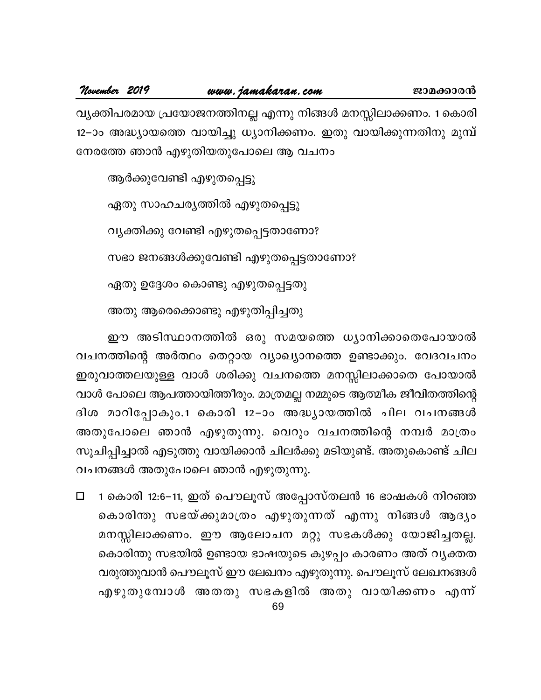വ്യക്തിപരമായ പ്രയോജനത്തിനല്ല എന്നു നിങ്ങൾ മനസ്സിലാക്കണം. 1 കൊരി 12–ാം അദ്ധ്യായത്തെ വായിച്ചു ധ്യാനിക്കണം. ഇതു വായിക്കുന്നതിനു മുമ്പ് നേരത്തേ ഞാൻ എഴുതിയതുപോലെ ആ വചനം

ആർക്കുവേണ്ടി എഴുതപ്പെട്ടു

ഏതു സാഹചര്യത്തിൽ എഴുതപ്പെട്ടു

വ്യക്തിക്കു വേണ്ടി എഴുതപ്പെട്ടതാണോ?

സഭാ ജനങ്ങൾക്കുവേണ്ടി എഴുതപ്പെട്ടതാണോ?

ഏതു ഉദ്ദേശം കൊണ്ടു എഴുതപ്പെട്ടതു

അതു ആരെക്കൊണ്ടു എഴുതിപ്പിച്ചതു

ഈ അടിസ്ഥാനത്തിൽ ഒരു സമയത്തെ ധ്യാനിക്കാതെപോയാൽ വചനത്തിന്റെ അർത്ഥം തെറ്റായ വ്യാഖ്യാനത്തെ ഉണ്ടാക്കും. വേദവചനം ഇരുവാത്തലയുള്ള വാൾ ശരിക്കു വചനത്തെ മനസ്സിലാക്കാതെ പോയാൽ വാൾ പോലെ ആപത്തായിത്തീരും. മാത്രമല്ല നമ്മുടെ ആത്മീക ജീവിതത്തിന്റെ ദിശ മാറിപ്പോകും.1 കൊരി 12-ാം അദ്ധ്യായത്തിൽ ചില വചനങ്ങൾ അതുപോലെ ഞാൻ എഴുതുന്നു. വെറും വചനത്തിന്റെ നമ്പർ മാത്രം സൂചിപ്പിച്ചാൽ എടുത്തു വായിക്കാൻ ചിലർക്കു മടിയുണ്ട്. അതുകൊണ്ട് ചില വചനങ്ങൾ അതുപോലെ ഞാൻ എഴുതുന്നു.

1 കൊരി 12:6−11, ഇത് പൌലൂസ് അപ്പോസ്തലൻ 16 ഭാഷകൾ നിറഞ്ഞ  $\Box$ കൊരിന്തു സഭയ്ക്കുമാത്രം എഴുതുന്നത് എന്നു നിങ്ങൾ ആദ്യം മനസ്സിലാക്കണം. ഈ ആലോചന മറ്റു സഭകൾക്കു യോജിച്ചതല്ല. കൊരിന്തു സഭയിൽ ഉണ്ടായ ഭാഷയുടെ കുഴപ്പം കാരണം അത് വൃക്തത വരുത്തുവാൻ പൌലൂസ് ഈ ലേഖനം എഴുതുന്നു. പൌലൂസ് ലേഖനങ്ങൾ എഴുതുമ്പോൾ അതതു സഭകളിൽ അതു വായിക്കണം എന്ന്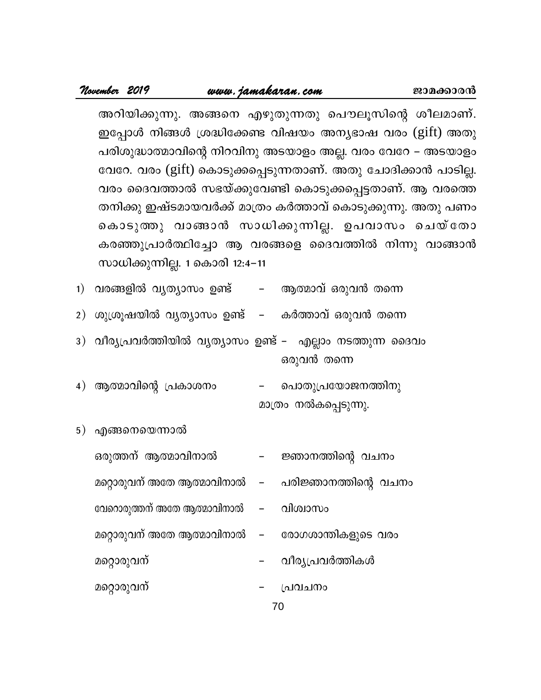### www.jamakaran.com

November 2019

അറിയിക്കുന്നു. അങ്ങനെ എഴുതുന്നതു പൌലൂസിന്റെ ശീലമാണ്. ഇപ്പോൾ നിങ്ങൾ ശ്രദ്ധിക്കേണ്ട വിഷയം അന്യഭാഷ വരം (gift) അതു പരിശുദ്ധാത്മാവിന്റെ നിറവിനു അടയാളം അല്ല. വരം വേറേ – അടയാളം വേറേ. വരം (gift) കൊടുക്കപ്പെടുന്നതാണ്. അതു ചോദിക്കാൻ പാടില്ല. വരം ദൈവത്താൽ സഭയ്ക്കുവേണ്ടി കൊടുക്കപ്പെട്ടതാണ്. ആ വരത്തെ തനിക്കു ഇഷ്ടമായവർക്ക് മാത്രം കർത്താവ് കൊടുക്കുന്നു. അതു പണം കൊടുത്തു വാങ്ങാൻ സാധിക്കുന്നില്ല. ഉപവാസം ചെയ്തോ കരഞ്ഞുപ്രാർത്ഥിച്ചോ ആ വരങ്ങളെ ദൈവത്തിൽ നിന്നു വാങ്ങാൻ സാധിക്കുന്നില്ല. 1 കൊരി 12:4–11

ജാമക്കാരൻ

- 1) വരങ്ങളിൽ വൃത്യാസം ഉണ്ട് – ആത്മാവ് ഒരുവൻ തന്നെ
- 2) ശുശ്രൂഷയിൽ വൃത്യാസം ഉണ്ട് കർത്താവ് ഒരുവൻ തന്നെ

3) വീര്യപ്രവർത്തിയിൽ വ്യത്യാസം ഉണ്ട് – എല്ലാം നടത്തുന്ന ദൈവം ഒരുവൻ തന്നെ

- 4) ആത്മാവിന്റെ പ്രകാശനം പൊതുപ്രയോജനത്തിനു മാത്രം നൽകപ്പെടുന്നു.
- 5) എങ്ങനെയെന്നാൽ
	- ഒരുത്തന് ആത്മാവിനാൽ ജ്ഞാനത്തിന്റെ വചനം
	- മറ്റൊരുവന് അതേ ആത്മാവിനാൽ പരിജ്ഞാനത്തിന്റെ വചനം  $\overline{\phantom{m}}$
	- വേറൊരുത്തന് അതേ ആത്മാവിനാൽ വിശ്വാസം  $\qquad \qquad -$
	- മറ്റൊരുവന് അതേ ആത്മാവിനാൽ രോഗശാന്തികളുടെ വരം  $\overline{\phantom{0}}$
	- മറ്റൊരുവന് വീര്യപ്രവർത്തികൾ
	- മറ്റൊരുവന്
- 70

പ്രവചനം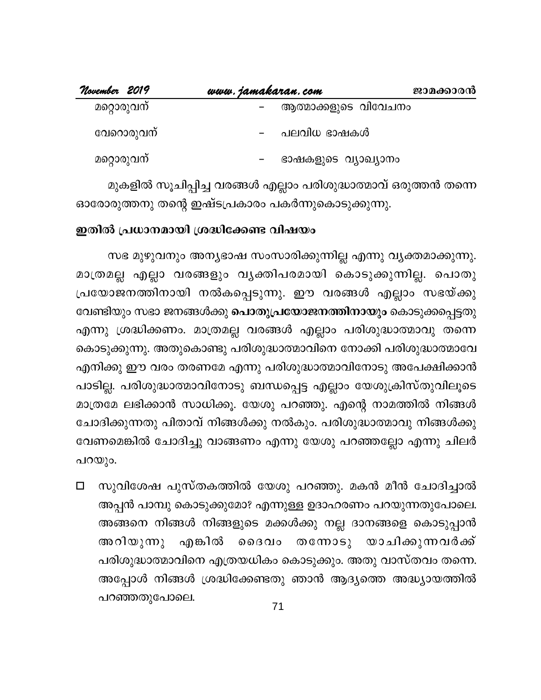| November 2019 | www.jamakaran.com    | ജാമക്കാരൻ |
|---------------|----------------------|-----------|
| മറ്റൊരുവന്    | ആത്മാക്കളുടെ വിവേചനം |           |
| വേറൊരുവന്     | പലവിധ ഭാഷകൾ          |           |
| മറ്റൊരുവന്    | ഭാഷകളുടെ വ്യാഖ്യാനം  |           |

മുകളിൽ സൂചിപ്പിച്ച വരങ്ങൾ എല്ലാം പരിശുദ്ധാത്മാവ് ഒരുത്തൻ തന്നെ ഓരോരുത്തനു തന്റെ ഇഷ്ടപ്രകാരം പകർന്നുകൊടുക്കുന്നു.

### ഇതിൽ പ്രധാനമായി ശ്രദ്ധിക്കേണ്ട വിഷയം

സഭ മുഴുവനും അന്യഭാഷ സംസാരിക്കുന്നില്ല എന്നു വ്യക്തമാക്കുന്നു. മാത്രമല്ല എല്ലാ വരങ്ങളും വൃക്തിപരമായി കൊടുക്കുന്നില്ല. പൊതു പ്രയോജനത്തിനായി നൽകപ്പെടുന്നു. ഈ വരങ്ങൾ എല്ലാം സഭയ്ക്കു വേണ്ടിയും സഭാ ജനങ്ങൾക്കു **പൊതുപ്രയോജനത്തിനായും** കൊടുക്കപ്പെട്ടതു എന്നു ശ്രദ്ധിക്കണം. മാത്രമല്ല വരങ്ങൾ എല്ലാം പരിശുദ്ധാത്മാവു തന്നെ കൊടുക്കുന്നു. അതുകൊണ്ടു പരിശുദ്ധാത്മാവിനെ നോക്കി പരിശുദ്ധാത്മാവേ എനിക്കു ഈ വരം തരണമേ എന്നു പരിശുദ്ധാത്മാവിനോടു അപേക്ഷിക്കാൻ പാടില്ല. പരിശുദ്ധാത്മാവിനോടു ബന്ധപ്പെട്ട എല്ലാം യേശുക്രിസ്തുവിലൂടെ മാത്രമേ ലഭിക്കാൻ സാധിക്കൂ. യേശു പറഞ്ഞു. എന്റെ നാമത്തിൽ നിങ്ങൾ ചോദിക്കുന്നതു പിതാവ് നിങ്ങൾക്കു നൽകും. പരിശുദ്ധാത്മാവു നിങ്ങൾക്കു വേണമെങ്കിൽ ചോദിച്ചു വാങ്ങണം എന്നു യേശു പറഞ്ഞല്ലോ എന്നു ചിലർ പറയും.

സുവിശേഷ പുസ്തകത്തിൽ യേശു പറഞ്ഞു. മകൻ മീൻ ചോദിച്ചാൽ  $\Box$ അപ്പൻ പാമ്പു കൊടുക്കുമോ? എന്നുള്ള ഉദാഹരണം പറയുന്നതുപോലെ. അങ്ങനെ നിങ്ങൾ നിങ്ങളുടെ മക്കൾക്കു നല്ല ദാനങ്ങളെ കൊടുപ്പാൻ എങ്കിൽ തന്നോടു യാചിക്കുന്നവർക്ക് അറിയുന്നു ൈദവം പരിശുദ്ധാത്മാവിനെ എത്രയധികം കൊടുക്കും. അതു വാസ്തവം തന്നെ. അപ്പോൾ നിങ്ങൾ ശ്രദ്ധിക്കേണ്ടതു ഞാൻ ആദ്യത്തെ അദ്ധ്യായത്തിൽ പറഞ്ഞതുപോലെ.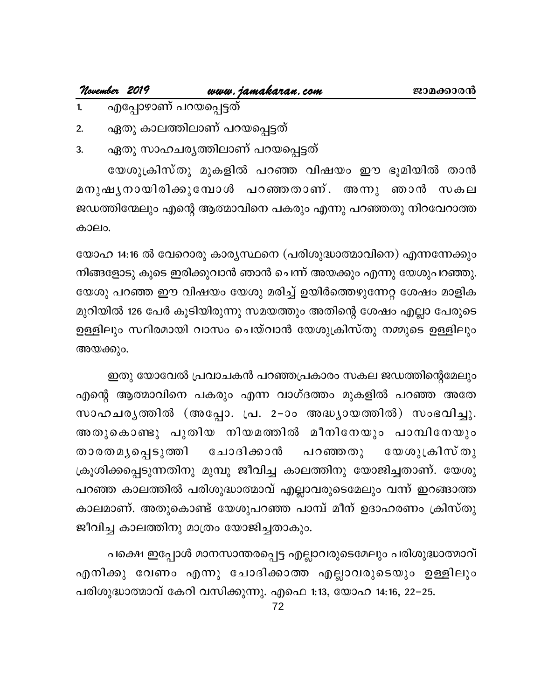## **November <sup>2019</sup> www.jamakaran.com Pma¡mc³**

- 1. എപ്പോഴാണ് പറയപ്പെട്ടത്
- 2. ഏതു കാലത്തിലാണ് പറയപ്പെട്ടത്
- 3. ഏതു സാഹചര്യത്തിലാണ് പറയപ്പെട്ടത്

എപ്പോഴാണ് പറയപ്പെട്ടത്<br>ഏതു കാലത്തിലാണ് പറയപ്പെട്ടത്<br>ഏതു സാഹചര്യത്തിലാണ് പറയപ്പെട്ടത്<br>യേശുക്രിസ്തു മുകളിൽ പറഞ്ഞ വിഷയം ഈ ഭൂമിയിൽ താൻ<br>ഷ്യനായിരിക്കുമ്പോൾ പറഞ്ഞതാണ്. അന്നു ഞാൻ സകല<br>തിന്മേലും എന്റെആത്മാവിനെ പകരും എന്നു പറഞ്ഞതു ന 2. ഏതു കാലത്തിലാണ് പറയപ്പെട്ടത്<br>3. ഏതു സാഹചര്യത്തിലാണ് പറയപ്പെട്ടത്<br>യേശുക്രിസ്തു മുകളിൽ പറഞ്ഞ വിഷയം ഈ ഭൂമിയിൽ താൻ<br>മനുഷ്യനായിരിക്കുമ്പോൾ പറഞ്ഞതാണ്. അന്നു ഞാൻ സകല<br>ജഡത്തിന്മേലും എന്റെത്തമാവിനെ പകരും എന്നു പറഞ്ഞതു നിറവേറാത്ത<br> ജഡത്തിന്മേലും എന്റെ ആത്മാവിനെ പകരും എന്നു പറഞ്ഞതു നിറവേറാത്ത കാലം.

യോഹ 14:16 ൽ വേറൊരു കാര്യസ്ഥനെ (പരിശുദ്ധാത്മാവിനെ) എന്നന്നേക്കും നിങ്ങളോടു കൂടെ ഇരിക്കുവാൻ ഞാൻ ചെന്ന് അയക്കും എന്നു യേശുപറഞ്ഞു. യേശു പറഞ്ഞ ഈ വിഷയം യേശു മരിച്ച് ഉയിർത്തെഴുന്നേറ്റ ശേഷം മാളിക മുറിയിൽ 126 പേർ കൂടിയിരുന്നു സമയത്തും അതിന്റെ ശേഷം എല്ലാ പേരുടെ ഉള്ളിലും സ്ഥിരമായി വാസം ചെയ്വാൻ യേശുക്രിസ്തു നമ്മുടെ ഉള്ളിലും അയക്കും.

ഇതു യോവേൽ പ്രവാചകൻ പറഞ്ഞപ്രകാരം സകല ജഡത്തിന്റെമേലും എന്റെ ആത്മാവിനെ പകരും എന്ന വാഗ്ദത്തം മുകളിൽ പറഞ്ഞ അതേ സാഹചരൃത്തിൽ (അപ്പോ. പ്ര. 2–ാം അദ്ധ്യായത്തിൽ) സംഭവിച്ചു. ഇതു യോവേൽ പ്രവാചകൻ പറഞ്ഞപ്രകാരം സകല ജഡത്തിന്റെമേലും<br>എന്റെ ആത്മാവിനെ പകരും എന്ന വാഗ്ദത്തം മുകളിൽ പറഞ്ഞ അതേ<br>സാഹചരൃത്തിൽ (അപ്പോ. പ്ര. 2–ാം അദ്ധ്യായത്തിൽ) സംഭവിച്ചു.<br>താരതമ്യപ്പെടുത്തി ചോദിക്കാൻ പറഞ്ഞതു യേശുക്രിസ്തു<br>ക്രൂശിക്കപ ് ഇതു യോമ്പര (ക്രാമ്പര വരാത്രപ്രകാരം സക്ഷ കേരത്തെ മുകളിൽ പറഞ്ഞ അതേ<br>സാഹചരൃത്തിൽ (അപ്പോ. പ്ര. 2-ാം അദ്ധ്യായത്തിൽ) സംഭവിച്ചു.<br>അതുകൊണ്ടു പുതിയ നിയമത്തിൽ മീനിനേയും പാമ്പിനേയും<br>താരതമൃപ്പെടുത്തി ചോദിക്കാൻ പറഞ്ഞതു യേശുക്രിസ്തു<br>ക് ക്രൂശിക്കപ്പെടുന്നതിനു മുമ്പു ജീവിച്ച കാലത്തിനു യോജിച്ചതാണ്. യേശു പറഞ്ഞ കാലത്തിൽ പരിശുദ്ധാത്മാവ് എല്ലാവരുടെമേലും വന്ന് ഇറങ്ങാത്ത കാലമാണ്. അതുകൊണ്ട് യേശുപറഞ്ഞ പാമ്പ് മീന് ഉദാഹരണം ക്രിസ്തു ജീവിച്ച കാലത്തിനു മാത്രം യോജിച്ചതാകും.

പക്ഷെ ഇപ്പോൾ മാനസാന്തരപ്പെട്ട എല്ലാവരുടെമേലും പരിശുദ്ധാത്മാവ് എനിക്കു വേണം എന്നു ചോദിക്കാത്ത എല്ലാവരുടെയും ഉള്ളിലും പരിശുദ്ധാത്മാവ് കേറി വസിക്കുന്നു. എഫെ 1:13, യോഹ 14:16, 22–25.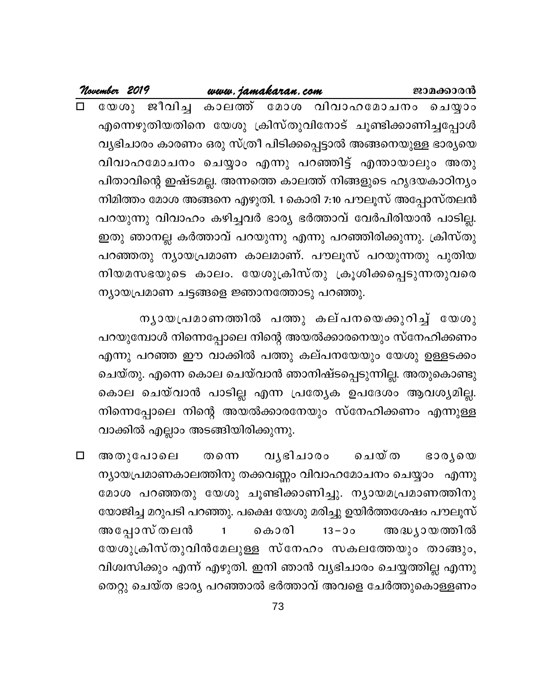| November 2019 |                                           | www.jamakaran.com |  |                                                                 | ജാമക്കാരൻ |
|---------------|-------------------------------------------|-------------------|--|-----------------------------------------------------------------|-----------|
|               |                                           |                   |  | യേശു ജീവിച്ച കാലത്ത് മോശ വിവാഹമോചനം ചെയ്യാം                     |           |
|               |                                           |                   |  | എന്നെഴുതിയതിനെ യേശു ക്രിസ്തുവിനോട് ചൂണ്ടിക്കാണിച്ചപ്പോൾ         |           |
|               |                                           |                   |  | വ്യഭിചാരം കാരണം ഒരു സ്ത്രീ പിടിക്കപ്പെട്ടാൽ അങ്ങനെയുള്ള ഭാര്യയെ |           |
|               |                                           |                   |  | വിവാഹമോചനം ചെയ്യാം എന്നു പറഞ്ഞിട്ട് എന്തായാലും അതു              |           |
|               |                                           |                   |  | പിതാവിന്റെ ഇഷ്ടമല്ല. അന്നത്തെ കാലത്ത് നിങ്ങളുടെ ഹൃദയകാഠിന്യം    |           |
|               |                                           |                   |  | നിമിത്തം മോശ അങ്ങനെ എഴുതി. 1 കൊരി 7:10 പൗലൂസ് അപ്പോസ്തലൻ        |           |
|               |                                           |                   |  | പറയുന്നു വിവാഹം കഴിച്ചവർ ഭാര്യ ഭർത്താവ് വേർപിരിയാൻ പാടില്ല.     |           |
|               |                                           |                   |  | ഇതു ഞാനല്ല കർത്താവ് പറയുന്നു എന്നു പറഞ്ഞിരിക്കുന്നു. ക്രിസ്തു   |           |
|               |                                           |                   |  | പറഞ്ഞതു ന്യായപ്രമാണ കാലമാണ്. പൗലൂസ് പറയുന്നതു പുതിയ             |           |
|               |                                           |                   |  | നിയമസഭയുടെ കാലം. യേശുക്രിസ്തു ക്രൂശിക്കപ്പെടുന്നതുവരെ           |           |
|               | ന്യായപ്രമാണ ചട്ടങ്ങളെ ജ്ഞാനത്തോടു പറഞ്ഞു. |                   |  |                                                                 |           |

നൃായപ്രമാണത്തിൽ പത്തു കല്പനയെക്കുറിച്ച് യേശു പറയുമ്പോൾ നിന്നെപ്പോലെ നിന്റെ അയൽക്കാരനെയും സ്നേഹിക്കണം എന്നു പറഞ്ഞ ഈ വാക്കിൽ പത്തു കല്പനയേയും യേശു ഉള്ളടക്കം ചെയ്തു. എന്നെ കൊല ചെയ്വാൻ ഞാനിഷ്ടപ്പെടുന്നില്ല. അതുകൊണ്ടു കൊല ചെയ്വാൻ പാടില്ല എന്ന പ്രത്യേക ഉപദേശം ആവശ്യമില്ല. നിന്നെപ്പോലെ നിന്റെ അയൽക്കാരനേയും സ്നേഹിക്കണം എന്നുള്ള വാക്കിൽ എല്ലാം അടങ്ങിയിരിക്കുന്നു.

അതുപോലെ വുഭിചാരം  $\Box$ ചെയ്ത തന്നെ  $B00,000$ ന്യായപ്രമാണകാലത്തിനു തക്കവണ്ണം വിവാഹമോചനം ചെയ്യാം എന്നു മോശ പറഞ്ഞതു യേശു ചൂണ്ടിക്കാണിച്ചു. ന്യായമപ്രമാണത്തിനു യോജിച്ച മറുപടി പറഞ്ഞു. പക്ഷെ യേശു മരിച്ചു ഉയിർത്തശേഷം പൗലൂസ് അപ്പോസ്തലൻ അദ്ധ്യായത്തിൽ  $\mathbf{1}$ കൊരി  $13 - 90$ യേശുക്രിസ്തുവിൻമേലുള്ള സ്നേഹം സകലത്തേയും താങ്ങും, വിശ്വസിക്കും എന്ന് എഴുതി. ഇനി ഞാൻ വ്യഭിചാരം ചെയ്യത്തില്ല എന്നു തെറ്റു ചെയ്ത ഭാര്യ പറഞ്ഞാൽ ഭർത്താവ് അവളെ ചേർത്തുകൊള്ളണം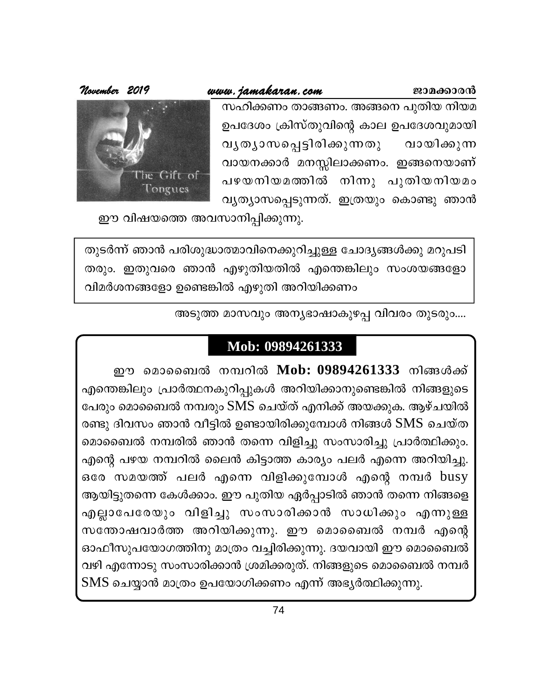### www.jamakaran.com

ജാമക്കാരൻ

സഹിക്കണം താങ്ങണം. അങ്ങനെ പുതിയ നിയമ ഉപദേശം ക്രിസ്തുവിന്റെ കാല ഉപദേശവുമായി വൃതൃാസപ്പെട്ടിരിക്കുന്നതു വായിക്കുന്ന വായനക്കാർ മനസ്സിലാക്കണം. ഇങ്ങനെയാണ് പഴയനിയമത്തിൽ നിന്നു പുതിയനിയമം വ്യത്യാസപ്പെടുന്നത്. ഇത്രയും കൊണ്ടു ഞാൻ



ഈ വിഷയത്തെ അവസാനിപ്പിക്കുന്നു.

തുടർന്ന് ഞാൻ പരിശുദ്ധാത്മാവിനെക്കുറിച്ചുള്ള ചോദ്യങ്ങൾക്കു മറുപടി തരും. ഇതുവരെ ഞാൻ എഴുതിയതിൽ എന്തെങ്കിലും സംശയങ്ങളോ വിമർശനങ്ങളോ ഉണ്ടെങ്കിൽ എഴുതി അറിയിക്കണം

അടുത്ത മാസവും അന്യഭാഷാകുഴപ്പ വിവരം തുടരും....

### Mob: 09894261333

ഈ മൊബൈൽ നമ്പറിൽ Mob: 09894261333 നിങ്ങൾക്ക് എന്തെങ്കിലും പ്രാർത്ഥനകുറിപ്പുകൾ അറിയിക്കാനുണ്ടെങ്കിൽ നിങ്ങളുടെ പേരും മൊബൈൽ നമ്പരും SMS ചെയ്ത് എനിക്ക് അയക്കുക. ആഴ്ചയിൽ രണ്ടു ദിവസം ഞാൻ വീട്ടിൽ ഉണ്ടായിരിക്കുമ്പോൾ നിങ്ങൾ SMS ചെയ്ത മൊബൈൽ നമ്പരിൽ ഞാൻ തന്നെ വിളിച്ചു സംസാരിച്ചു പ്രാർത്ഥിക്കും. എന്റെ പഴയ നമ്പറിൽ ലൈൻ കിട്ടാത്ത കാര്യം പലർ എന്നെ അറിയിച്ചു. ഒരേ സമയത്ത് പലർ എന്നെ വിളിക്കുമ്പോൾ എന്റെ നമ്പർ busy ആയിട്ടുതന്നെ കേൾക്കാം. ഈ പുതിയ ഏർപ്പാടിൽ ഞാൻ തന്നെ നിങ്ങളെ എല്ലാപേരേയും വിളിച്ചു സംസാരിക്കാൻ സാധിക്കും എന്നുള്ള സന്തോഷവാർത്ത അറിയിക്കുന്നു. ഈ മൊബൈൽ നമ്പർ എന്റെ ഓഫീസുപയോഗത്തിനു മാത്രം വച്ചിരിക്കുന്നു. ദയവായി ഈ മൊബൈൽ വഴി എന്നോടു സംസാരിക്കാൻ ശ്രമിക്കരുത്. നിങ്ങളുടെ മൊബൈൽ നമ്പർ SMS ചെയ്യാൻ മാത്രം ഉപയോഗിക്കണം എന്ന് അഭൃർത്ഥിക്കുന്നു.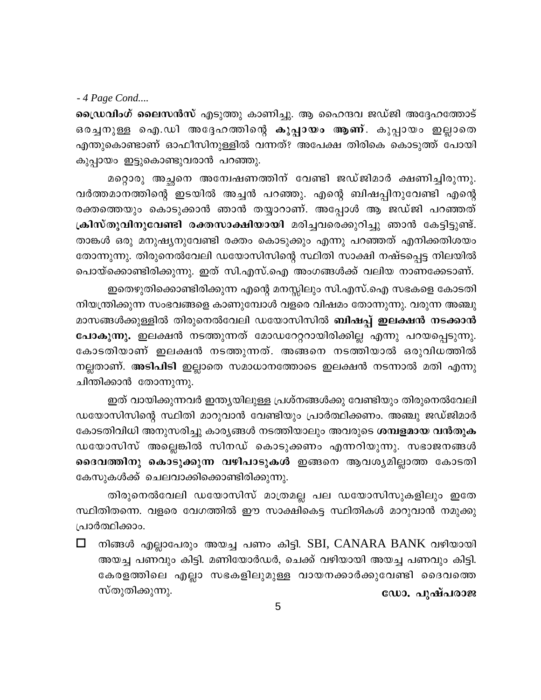### - 4 Page Cond....

ഡ്രൈവിംഗ് ലൈസൻസ് എടുത്തു കാണിച്ചു. ആ ഹൈന്ദവ ജഡ്ജി അദ്ദേഹത്തോട് ഒരച്ചനുള്ള ഐ.ഡി അദ്ദേഹത്തിന്റെ കുപ്പായം ആണ്. കുപ്പായം ഇല്ലാതെ എന്തുകൊണ്ടാണ് ഓഫീസിനുള്ളിൽ വന്നത്? അപേക്ഷ തിരികെ കൊടുത്ത് പോയി കുപ്പായം ഇട്ടുകൊണ്ടുവരാൻ പറഞ്ഞു.

മറ്റൊരു അച്ഛനെ അന്വേഷണത്തിന് വേണ്ടി ജഡ്ജിമാർ ക്ഷണിച്ചിരുന്നു. വർത്തമാനത്തിന്റെ ഇടയിൽ അച്ചൻ പറഞ്ഞു. എന്റെ ബിഷപ്പിനുവേണ്ടി എന്റെ രക്തത്തെയും കൊടുക്കാൻ ഞാൻ തയ്യാറാണ്. അപ്പോൾ ആ ജഡ്ജി പറഞ്ഞത് ക്രിസ്തുവിനുവേണ്ടി രക്തസാക്ഷിയായി മരിച്ചവരെക്കുറിച്ചു ഞാൻ കേട്ടിട്ടുണ്ട്. താങ്കൾ ഒരു മനുഷ്യനുവേണ്ടി രക്തം കൊടുക്കും എന്നു പറഞ്ഞത് എനിക്കതിശയം തോന്നുന്നു. തിരുനെൽവേലി ഡയോസിസിന്റെ സ്ഥിതി സാക്ഷി നഷ്ടപ്പെട്ട നിലയിൽ പൊയ്ക്കൊണ്ടിരിക്കുന്നു. ഇത് സി.എസ്.ഐ അംഗങ്ങൾക്ക് വലിയ നാണക്കേടാണ്.

ഇതെഴുതിക്കൊണ്ടിരിക്കുന്ന എന്റെ മനസ്സിലും സി.എസ്.ഐ സഭകളെ കോടതി നിയന്ത്രിക്കുന്ന സംഭവങ്ങളെ കാണുമ്പോൾ വളരെ വിഷമം തോന്നുന്നു. വരുന്ന അഞ്ചു മാസങ്ങൾക്കുള്ളിൽ തിരുനെൽവേലി ഡയോസിസിൽ ബിഷപ്പ് ഇലക്ഷൻ നടക്കാൻ പോകുന്നു. ഇലക്ഷൻ നടത്തുന്നത് മോഡറേറ്ററായിരിക്കില്ല എന്നു പറയപ്പെടുന്നു. കോടതിയാണ് ഇലക്ഷൻ നടത്തുന്നത്. അങ്ങനെ നടത്തിയാൽ ഒരുവിധത്തിൽ നല്ലതാണ്. അടിപിടി ഇല്ലാതെ സമാധാനത്തോടെ ഇലക്ഷൻ നടന്നാൽ മതി എന്നു ചിന്തിക്കാൻ തോന്നുന്നു.

ഇത് വായിക്കുന്നവർ ഇന്ത്യയിലുള്ള പ്രശ്നങ്ങൾക്കു വേണ്ടിയും തിരുനെൽവേലി ഡയോസിസിന്റെ സ്ഥിതി മാറുവാൻ വേണ്ടിയും പ്രാർത്ഥിക്കണം. അഞ്ചു ജഡ്ജിമാർ കോടതിവിധി അനുസരിച്ചു കാര്യങ്ങൾ നടത്തിയാലും അവരുടെ ശമ്പളമായ വൻതുക ഡയോസിസ് അല്ലെങ്കിൽ സിനഡ് കൊടുക്കണം എന്നറിയുന്നു. സഭാജനങ്ങൾ ദൈവത്തിനു കൊടുക്കുന്ന വഴിപാടുകൾ ഇങ്ങനെ ആവശ്യമില്ലാത്ത കോടതി കേസുകൾക്ക് ചെലവാക്കിക്കൊണ്ടിരിക്കുന്നു.

തിരുനെൽവേലി ഡയോസിസ് മാത്രമല്ല പല ഡയോസിസുകളിലും ഇതേ സ്ഥിതിതന്നെ. വളരെ വേഗത്തിൽ ഈ സാക്ഷികെട്ട സ്ഥിതികൾ മാറുവാൻ നമുക്കു പ്രാർത്ഥിക്കാം.

നിങ്ങൾ എല്ലാപേരും അയച്ച പണം കിട്ടി. SBI, CANARA BANK വഴിയായി അയച്ച പണവും കിട്ടി. മണിയോർഡർ, ചെക്ക് വഴിയായി അയച്ച പണവും കിട്ടി. കേരളത്തിലെ എല്ലാ സഭകളിലുമുള്ള വായനക്കാർക്കുവേണ്ടി ദൈവത്തെ സ്തുതിക്കുന്നു. ഡോ. പുഷ്പരാജ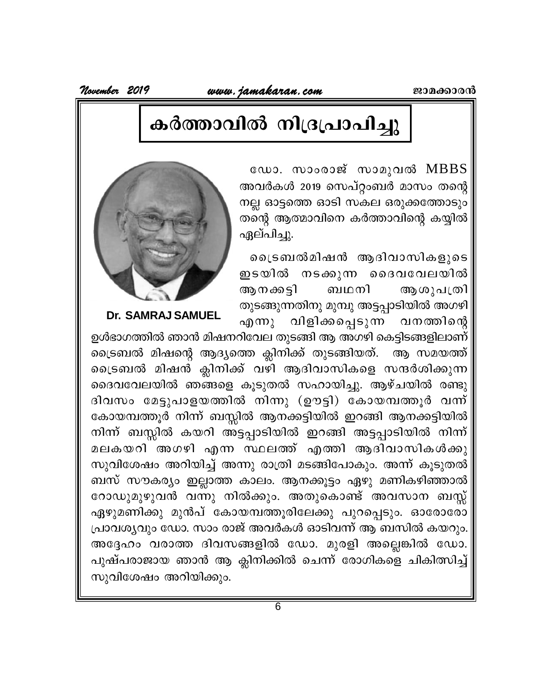www.jamakaran.com

November 2019

### കർത്താവിൽ നിദ്രപ്രാപിച്ചു

ഡോ. സാംരാജ് സാമുവൽ MBBS അവർകൾ 2019 സെപ്റ്റംബർ മാസം തന്റെ നല്ല ഓട്ടത്തെ ഓടി സകല ഒരുക്കത്തോടും തന്റെ ആത്മാവിനെ കർത്താവിന്റെ കയ്യിൽ ഏല്പിച്ചു.

്രൈബൽമിഷൻ ആദിവാസികളുടെ ഇടയിൽ നടക്കുന്ന ദൈവവേലയിൽ ആനക്കട്ടി ബഥനി ആശുപത്രി തുടങ്ങുന്നതിനു മുമ്പു അട്ടപ്പാടിയിൽ അഗഴി വിളിക്കപ്പെടുന്ന വനത്തിന്റെ  $\alpha$ <sub>0</sub> m  $\lambda$ 



Dr. SAMRAJ SAMUEL

ഉൾഭാഗത്തിൽ ഞാൻ മിഷനറിവേല തുടങ്ങി ആ അഗഴി കെട്ടിടങ്ങളിലാണ് ട്രൈബൽ മിഷന്റെ ആദ്യത്തെ ക്ലിനിക്ക് തുടങ്ങിയത്. ആ സമയത്ത് ്രൈബൽ മിഷൻ ക്ലിനിക്ക് വഴി ആദിവാസികളെ സന്ദർശിക്കുന്ന ദൈവവേലയിൽ ഞങ്ങളെ കൂടുതൽ സഹായിച്ചു. ആഴ്ചയിൽ രണ്ടു ദിവസം മേട്ടുപാളയത്തിൽ നിന്നു (ഊട്ടി) കോയമ്പത്തൂർ വന്ന് കോയമ്പത്തൂർ നിന്ന് ബസ്സിൽ ആനക്കട്ടിയിൽ ഇറങ്ങി ആനക്കട്ടിയിൽ നിന്ന് ബസ്സിൽ കയറി അട്ടപ്പാടിയിൽ ഇറങ്ങി അട്ടപ്പാടിയിൽ നിന്ന് മലകയറി അഗഴി എന്ന സ്ഥലത്ത് എത്തി ആദിവാസികൾക്കു സുവിശേഷം അറിയിച്ച് അന്നു രാത്രി മടങ്ങിപോകും. അന്ന് കൂടുതൽ ബസ് സൗകര്യം ഇല്ലാത്ത കാലം. ആനക്കൂട്ടം ഏഴു മണികഴിഞ്ഞാൽ റോഡുമുഴുവൻ വന്നു നിൽക്കും. അതുകൊണ്ട് അവസാന ബസ്സ് ഏഴുമണിക്കു മുൻപ് കോയമ്പത്തൂരിലേക്കു പുറപ്പെടും. ഓരോരോ പ്രാവശ്യവും ഡോ. സാം രാജ് അവർകൾ ഓടിവന്ന് ആ ബസിൽ കയറും. അദ്ദേഹം വരാത്ത ദിവസങ്ങളിൽ ഡോ. മുരളി അല്ലെങ്കിൽ ഡോ. പുഷ്പരാജായ ഞാൻ ആ ക്ലിനിക്കിൽ ചെന്ന് രോഗികളെ ചികിത്സിച്ച് സുവിശേഷം അറിയിക്കും.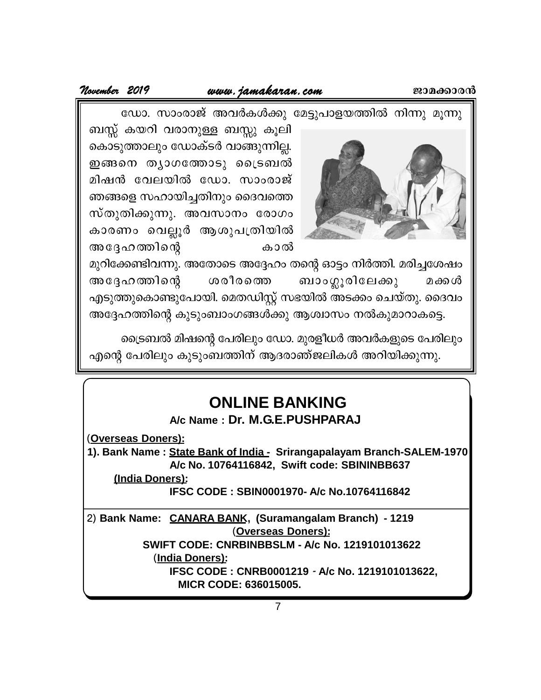**November <sup>2019</sup> www.jamakaran.com Pma¡mc³** ഡോ. സാംരാജ് അവർകൾക്കു മേട്ടുപാളയത്തിൽ നിന്നു മൂന്നു



ബസ്സ് കയറി വരാനുള്ള ബസ്സു കൂലി കൊടുത്താലും ഡോക്ടർ വാങ്ങുന്നില്ല. ഇങ്ങനെ തൃാഗത്തോടു ട്രൈബൽ ഡോ. സാംരാജ് അവർകൾക്കു മേട്ടുപാളയത്തിൽ നി<br>ബസ്സ് കയറി വരാനുള്ള ബസ്സു കൂലി<br>കൊടുത്താലും ഡോക്ടർ വാങ്ങുന്നില്ല.<br>ഇങ്ങനെ തൃാഗത്തോടു ട്രൈബൽ<br>മിഷൻ വേലയിൽ ഡോ. സാംരാജ്<br>ഞങ്ങളെ സഹായിച്ചതിനും ദൈവത്തെ<br>സ്തുതിക്കുന്നു. അവസാനം രോഗം ഞങ്ങളെ സഹായിച്ചതിനും ദൈവത്തെ കൊടുത്താലും ഡോക്ടർ വാങ്ങുന്നില്ല.<br>ഇങ്ങനെ തൃാഗത്തോടു ട്രൈബൽ<br>മിഷൻ വേലയിൽ ഡോ. സാംരാജ്<br>ഞങ്ങളെ സഹായിച്ചതിനും ദൈവത്തെ<br>സ്തുതിക്കുന്നു. അവസാനം രോഗം<br>കാരണം വെല്ലൂർ ആശുപത്രിയിൽ<br>അദ്ദേഹത്തിന്റെ കാൽ കാരണം വെല്ലൂർ ആശുപത്രിയിൽ മിഷൻ വേലയിൽ ഡോ. സാംരാജ്<br>ഞങ്ങളെ സഹായിച്ചതിനും ദൈവത്തെ<br>സ്തുതിക്കുന്നു. അവസാനം രോഗം<br>കാരണം വെല്ലൂർ ആശുപത്രിയിൽ<br>അദ്ദേഹത്തിന്റെ ശരീരത്തെ ബാംഗ്ലൂരിലേക്<br>അദ്ദേഹത്തിന്റെ ശരീരത്തെ ബാംഗ്ലൂരിലേക്<br>അദ്ദേഹത്തിന്റെ ശരീരത്തെ ബാംഗ്ലൂരിലേക്

മുറിക്കേണ്ടിവന്നു. അതോടെ അദ്ദേഹം തന്റെ ഓട്ടം നിർത്തി. മരിച്ചശേഷം  $\parallel$ At±l¯nsâ icocs¯ \_mw¥qcnte¡p a¡Ä എടുത്തുകൊണ്ടുപോയി. മെതഡിസ്റ്റ് സഭയിൽ അടക്കം ചെയ്തു. ദൈവം അദ്ദേഹത്തിന്റെ കുടുംബാംഗങ്ങൾക്കു ആശ്വാസം നൽകുമാറാകട്ടെ.

ട്രൈബൽ മിഷന്റെ പേരിലും ഡോ. മുരളീധർ അവർകളുടെ പേരിലും എന്റെ പേരിലും കുടുംബത്തിന് ആദരാഞ്ജലികൾ അറിയിക്കുന്നു.

### **ONLINE BANKING**

**A/c Name : Dr. M.G.E.PUSHPARAJ**

(**Overseas Doners):**

**1). Bank Name : State Bank of India - Srirangapalayam Branch-SALEM-1970 A/c No. 10764116842, Swift code: SBININBB637**

**(India Doners):**

**IFSC CODE : SBIN0001970- A/c No.10764116842**

7 **IFSC CODE : CNRB0001219** *-* **A/c No. 1219101013622,** 2) **Bank Name: CANARA BANK, (Suramangalam Branch) - 1219** (**Overseas Doners): SWIFT CODE: CNRBINBBSLM - A/c No. 1219101013622** (**India Doners): MICR CODE: 636015005.**